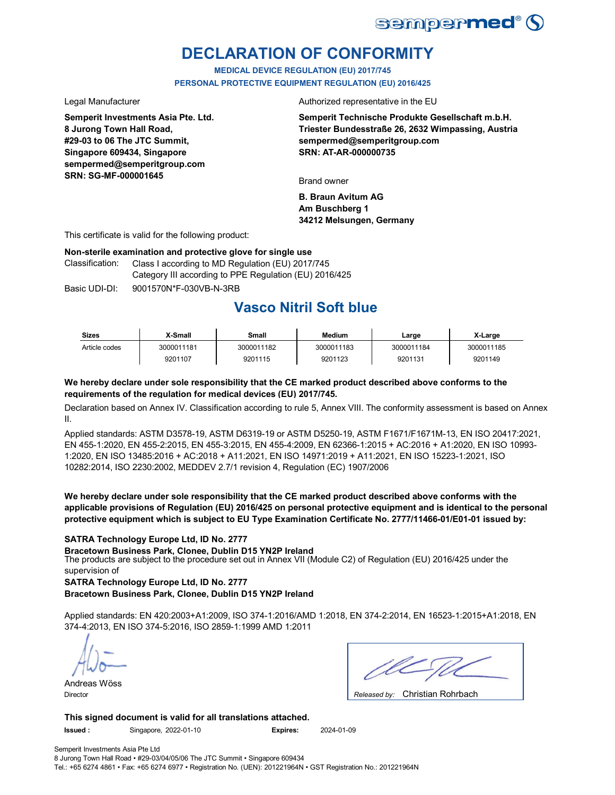

# **DECLARATION OF CONFORMITY**

**MEDICAL DEVICE REGULATION (EU) 2017/745 PERSONAL PROTECTIVE EQUIPMENT REGULATION (EU) 2016/425**

**Semperit Investments Asia Pte. Ltd. 8 Jurong Town Hall Road, #29-03 to 06 The JTC Summit, Singapore 609434, Singapore sempermed@semperitgroup.com SRN: SG-MF-000001645**

Legal Manufacturer **Authorized** representative in the EU

**Semperit Technische Produkte Gesellschaft m.b.H. Triester Bundesstraße 26, 2632 Wimpassing, Austria sempermed@semperitgroup.com SRN: AT-AR-000000735**

Brand owner

**B. Braun Avitum AG Am Buschberg 1 34212 Melsungen, Germany**

This certificate is valid for the following product:

#### **Non-sterile examination and protective glove for single use**

Class I according to MD Regulation (EU) 2017/745 Category III according to PPE Regulation (EU) 2016/425 Classification:

Basic UDI-DI: 9001570N\*F-030VB-N-3RB

# **Vasco Nitril Soft blue**

| <b>Sizes</b>  | X-Small    | Small      | <b>Medium</b> | ∟arɑe      | X-Large    |
|---------------|------------|------------|---------------|------------|------------|
| Article codes | 3000011181 | 3000011182 | 3000011183    | 3000011184 | 3000011185 |
|               | 9201107    | 9201115    | 9201123       | 9201131    | 9201149    |

#### **We hereby declare under sole responsibility that the CE marked product described above conforms to the requirements of the regulation for medical devices (EU) 2017/745.**

Declaration based on Annex IV. Classification according to rule 5, Annex VIII. The conformity assessment is based on Annex II.

Applied standards: ASTM D3578-19, ASTM D6319-19 or ASTM D5250-19, ASTM F1671/F1671M-13, EN ISO 20417:2021, EN 455-1:2020, EN 455-2:2015, EN 455-3:2015, EN 455-4:2009, EN 62366-1:2015 + AC:2016 + A1:2020, EN ISO 10993- 1:2020, EN ISO 13485:2016 + AC:2018 + A11:2021, EN ISO 14971:2019 + A11:2021, EN ISO 15223-1:2021, ISO 10282:2014, ISO 2230:2002, MEDDEV 2.7/1 revision 4, Regulation (EC) 1907/2006

**We hereby declare under sole responsibility that the CE marked product described above conforms with the applicable provisions of Regulation (EU) 2016/425 on personal protective equipment and is identical to the personal protective equipment which is subject to EU Type Examination Certificate No. 2777/11466-01/E01-01 issued by:**

#### **SATRA Technology Europe Ltd, ID No. 2777**

The products are subject to the procedure set out in Annex VII (Module C2) of Regulation (EU) 2016/425 under the supervision of **Bracetown Business Park, Clonee, Dublin D15 YN2P Ireland**

**SATRA Technology Europe Ltd, ID No. 2777**

**Bracetown Business Park, Clonee, Dublin D15 YN2P Ireland**

Applied standards: EN 420:2003+A1:2009, ISO 374-1:2016/AMD 1:2018, EN 374-2:2014, EN 16523-1:2015+A1:2018, EN 374-4:2013, EN ISO 374-5:2016, ISO 2859-1:1999 AMD 1:2011

Andreas Wöss

Christian Rohrbach Director *Released by:* 

**This signed document is valid for all translations attached. Issued :** Singapore, 2022-01-10 **Expires:** 2024-01-09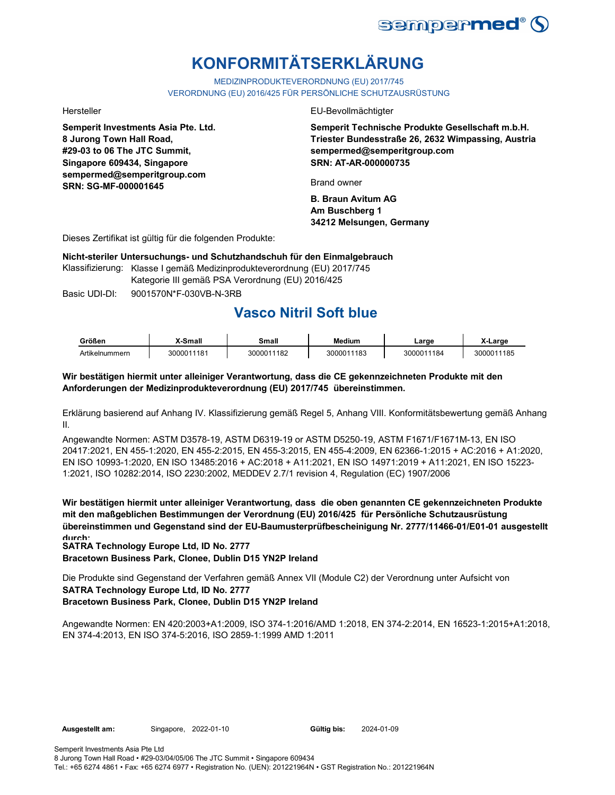

# **KONFORMITÄTSERKLÄRUNG**

MEDIZINPRODUKTEVERORDNUNG (EU) 2017/745

VERORDNUNG (EU) 2016/425 FÜR PERSÖNLICHE SCHUTZAUSRÜSTUNG

**Semperit Investments Asia Pte. Ltd. 8 Jurong Town Hall Road, #29-03 to 06 The JTC Summit, Singapore 609434, Singapore sempermed@semperitgroup.com SRN: SG-MF-000001645**

Hersteller EU-Bevollmächtigter

**Semperit Technische Produkte Gesellschaft m.b.H. Triester Bundesstraße 26, 2632 Wimpassing, Austria sempermed@semperitgroup.com SRN: AT-AR-000000735**

Brand owner

**B. Braun Avitum AG Am Buschberg 1 34212 Melsungen, Germany**

Dieses Zertifikat ist gültig für die folgenden Produkte:

**Nicht-steriler Untersuchungs- und Schutzhandschuh für den Einmalgebrauch**

Klassifizierung: Klasse I gemäß Medizinprodukteverordnung (EU) 2017/745 Kategorie III gemäß PSA Verordnung (EU) 2016/425

Basic UDI-DI: 9001570N\*F-030VB-N-3RB

# **Vasco Nitril Soft blue**

| Größen         | X-Small    | Small      | <b>Medium</b> | ∟arɑe      | X-Large    |
|----------------|------------|------------|---------------|------------|------------|
| Artikelnummern | 3000011181 | 3000011182 | 3000011183    | 3000011184 | 3000011185 |

### **Wir bestätigen hiermit unter alleiniger Verantwortung, dass die CE gekennzeichneten Produkte mit den Anforderungen der Medizinprodukteverordnung (EU) 2017/745 übereinstimmen.**

Erklärung basierend auf Anhang IV. Klassifizierung gemäß Regel 5, Anhang VIII. Konformitätsbewertung gemäß Anhang II.

Angewandte Normen: ASTM D3578-19, ASTM D6319-19 or ASTM D5250-19, ASTM F1671/F1671M-13, EN ISO 20417:2021, EN 455-1:2020, EN 455-2:2015, EN 455-3:2015, EN 455-4:2009, EN 62366-1:2015 + AC:2016 + A1:2020, EN ISO 10993-1:2020, EN ISO 13485:2016 + AC:2018 + A11:2021, EN ISO 14971:2019 + A11:2021, EN ISO 15223- 1:2021, ISO 10282:2014, ISO 2230:2002, MEDDEV 2.7/1 revision 4, Regulation (EC) 1907/2006

**Wir bestätigen hiermit unter alleiniger Verantwortung, dass die oben genannten CE gekennzeichneten Produkte mit den maßgeblichen Bestimmungen der Verordnung (EU) 2016/425 für Persönliche Schutzausrüstung übereinstimmen und Gegenstand sind der EU-Baumusterprüfbescheinigung Nr. 2777/11466-01/E01-01 ausgestellt durch:**

**SATRA Technology Europe Ltd, ID No. 2777**

**Bracetown Business Park, Clonee, Dublin D15 YN2P Ireland**

Die Produkte sind Gegenstand der Verfahren gemäß Annex VII (Module C2) der Verordnung unter Aufsicht von **SATRA Technology Europe Ltd, ID No. 2777 Bracetown Business Park, Clonee, Dublin D15 YN2P Ireland**

Angewandte Normen: EN 420:2003+A1:2009, ISO 374-1:2016/AMD 1:2018, EN 374-2:2014, EN 16523-1:2015+A1:2018, EN 374-4:2013, EN ISO 374-5:2016, ISO 2859-1:1999 AMD 1:2011

2024-01-09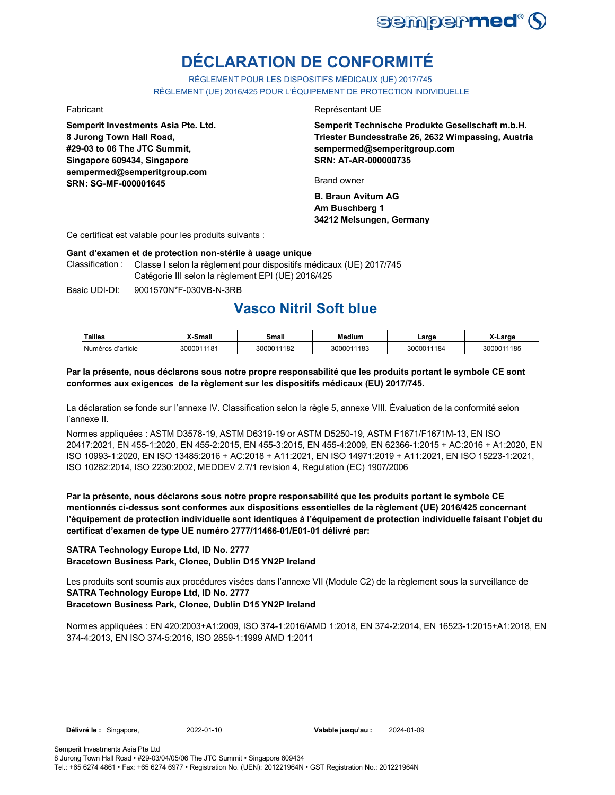

# **DÉCLARATION DE CONFORMITÉ**

RÈGLEMENT POUR LES DISPOSITIFS MÉDICAUX (UE) 2017/745 RÈGLEMENT (UE) 2016/425 POUR L'ÉQUIPEMENT DE PROTECTION INDIVIDUELLE

**Semperit Investments Asia Pte. Ltd. 8 Jurong Town Hall Road, #29-03 to 06 The JTC Summit, Singapore 609434, Singapore sempermed@semperitgroup.com SRN: SG-MF-000001645**

#### Fabricant **Exercise Exercise Exercise Exercise Exercise Exercise Exercise Exercise Exercise Exercise Exercise**

**Semperit Technische Produkte Gesellschaft m.b.H. Triester Bundesstraße 26, 2632 Wimpassing, Austria sempermed@semperitgroup.com SRN: AT-AR-000000735**

Brand owner

**B. Braun Avitum AG Am Buschberg 1 34212 Melsungen, Germany**

Ce certificat est valable pour les produits suivants :

#### **Gant d'examen et de protection non-stérile à usage unique**

Classification : Classe I selon la règlement pour dispositifs médicaux (UE) 2017/745 Catégorie III selon la règlement EPI (UE) 2016/425

Basic UDI-DI: 9001570N\*F-030VB-N-3RB

## **Vasco Nitril Soft blue**

| Tailles           | X-Small    | Small      | Medium     | ∟arɑe      | X-Large    |
|-------------------|------------|------------|------------|------------|------------|
| Numéros d'article | 3000011181 | 3000011182 | 3000011183 | 3000011184 | 3000011185 |

#### **Par la présente, nous déclarons sous notre propre responsabilité que les produits portant le symbole CE sont conformes aux exigences de la règlement sur les dispositifs médicaux (EU) 2017/745.**

La déclaration se fonde sur l'annexe IV. Classification selon la règle 5, annexe VIII. Évaluation de la conformité selon l'annexe II.

Normes appliquées : ASTM D3578-19, ASTM D6319-19 or ASTM D5250-19, ASTM F1671/F1671M-13, EN ISO 20417:2021, EN 455-1:2020, EN 455-2:2015, EN 455-3:2015, EN 455-4:2009, EN 62366-1:2015 + AC:2016 + A1:2020, EN ISO 10993-1:2020, EN ISO 13485:2016 + AC:2018 + A11:2021, EN ISO 14971:2019 + A11:2021, EN ISO 15223-1:2021, ISO 10282:2014, ISO 2230:2002, MEDDEV 2.7/1 revision 4, Regulation (EC) 1907/2006

**Par la présente, nous déclarons sous notre propre responsabilité que les produits portant le symbole CE mentionnés ci-dessus sont conformes aux dispositions essentielles de la règlement (UE) 2016/425 concernant l'équipement de protection individuelle sont identiques à l'équipement de protection individuelle faisant l'objet du certificat d'examen de type UE numéro 2777/11466-01/E01-01 délivré par:**

### **SATRA Technology Europe Ltd, ID No. 2777**

**Bracetown Business Park, Clonee, Dublin D15 YN2P Ireland**

Les produits sont soumis aux procédures visées dans l'annexe VII (Module C2) de la règlement sous la surveillance de **SATRA Technology Europe Ltd, ID No. 2777**

#### **Bracetown Business Park, Clonee, Dublin D15 YN2P Ireland**

Normes appliquées : EN 420:2003+A1:2009, ISO 374-1:2016/AMD 1:2018, EN 374-2:2014, EN 16523-1:2015+A1:2018, EN 374-4:2013, EN ISO 374-5:2016, ISO 2859-1:1999 AMD 1:2011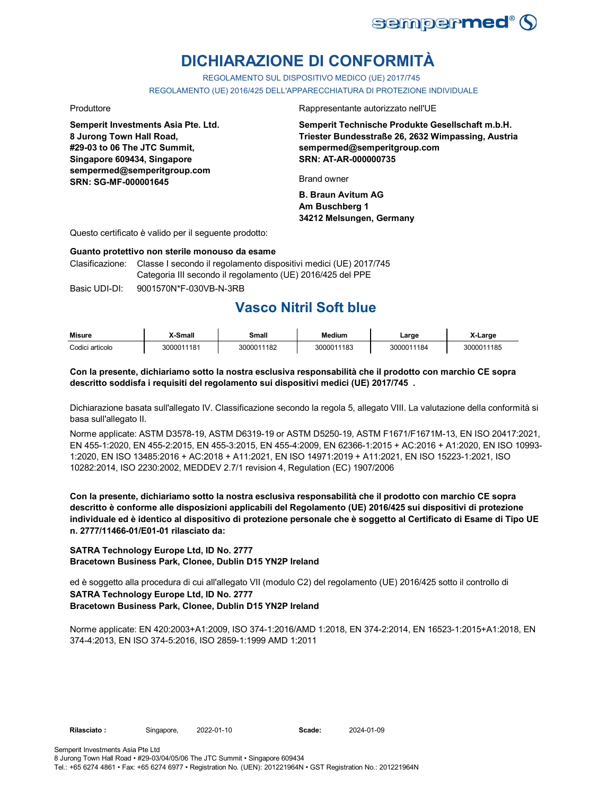

# **DICHIARAZIONE DI CONFORMITÀ**

REGOLAMENTO SUL DISPOSITIVO MEDICO (UE) 2017/745

REGOLAMENTO (UE) 2016/425 DELL'APPARECCHIATURA DI PROTEZIONE INDIVIDUALE

**Semperit Investments Asia Pte. Ltd. 8 Jurong Town Hall Road, #29-03 to 06 The JTC Summit, Singapore 609434, Singapore sempermed@semperitgroup.com SRN: SG-MF-000001645**

Produttore **Rappresentante autorizzato nell'UE** 

**Semperit Technische Produkte Gesellschaft m.b.H. Triester Bundesstraße 26, 2632 Wimpassing, Austria sempermed@semperitgroup.com SRN: AT-AR-000000735**

Brand owner

**B. Braun Avitum AG Am Buschberg 1 34212 Melsungen, Germany**

Questo certificato è valido per il seguente prodotto:

#### **Guanto protettivo non sterile monouso da esame**

Clasificazione: Classe I secondo il regolamento dispositivi medici (UE) 2017/745 Categoria III secondo il regolamento (UE) 2016/425 del PPE

Basic UDI-DI: 9001570N\*F-030VB-N-3RB

# **Vasco Nitril Soft blue**

| <b>Misure</b>   | X-Small    | Small      | Medium     | Large      | X-Large    |
|-----------------|------------|------------|------------|------------|------------|
| Codici articolo | 3000011181 | 3000011182 | 3000011183 | 3000011184 | 3000011185 |

### **Con la presente, dichiariamo sotto la nostra esclusiva responsabilità che il prodotto con marchio CE sopra descritto soddisfa i requisiti del regolamento sui dispositivi medici (UE) 2017/745 .**

Dichiarazione basata sull'allegato IV. Classificazione secondo la regola 5, allegato VIII. La valutazione della conformità si basa sull'allegato II.

Norme applicate: ASTM D3578-19, ASTM D6319-19 or ASTM D5250-19, ASTM F1671/F1671M-13, EN ISO 20417:2021, EN 455-1:2020, EN 455-2:2015, EN 455-3:2015, EN 455-4:2009, EN 62366-1:2015 + AC:2016 + A1:2020, EN ISO 10993- 1:2020, EN ISO 13485:2016 + AC:2018 + A11:2021, EN ISO 14971:2019 + A11:2021, EN ISO 15223-1:2021, ISO 10282:2014, ISO 2230:2002, MEDDEV 2.7/1 revision 4, Regulation (EC) 1907/2006

**Con la presente, dichiariamo sotto la nostra esclusiva responsabilità che il prodotto con marchio CE sopra descritto è conforme alle disposizioni applicabili del Regolamento (UE) 2016/425 sui dispositivi di protezione individuale ed è identico al dispositivo di protezione personale che è soggetto al Certificato di Esame di Tipo UE n. 2777/11466-01/E01-01 rilasciato da:**

### **SATRA Technology Europe Ltd, ID No. 2777 Bracetown Business Park, Clonee, Dublin D15 YN2P Ireland**

ed è soggetto alla procedura di cui all'allegato VII (modulo C2) del regolamento (UE) 2016/425 sotto il controllo di **SATRA Technology Europe Ltd, ID No. 2777 Bracetown Business Park, Clonee, Dublin D15 YN2P Ireland**

Norme applicate: EN 420:2003+A1:2009, ISO 374-1:2016/AMD 1:2018, EN 374-2:2014, EN 16523-1:2015+A1:2018, EN 374-4:2013, EN ISO 374-5:2016, ISO 2859-1:1999 AMD 1:2011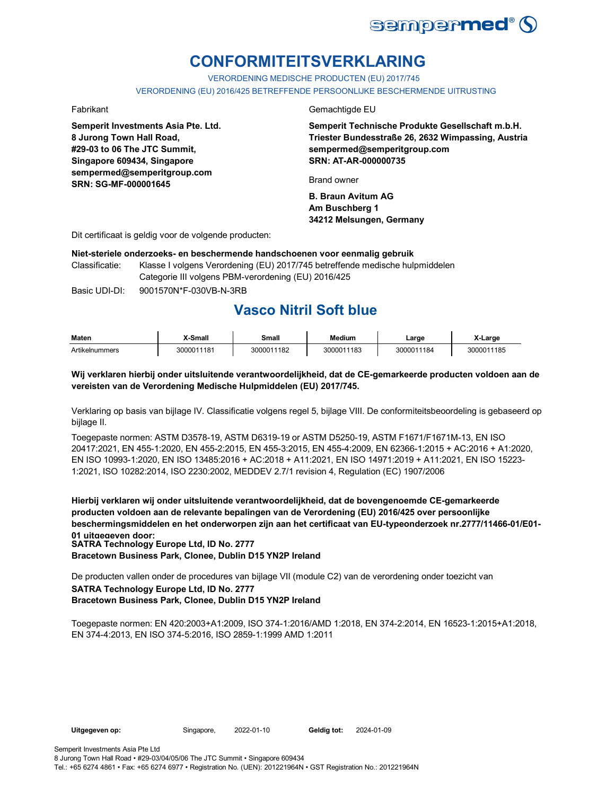

# **CONFORMITEITSVERKLARING**

VERORDENING MEDISCHE PRODUCTEN (EU) 2017/745

VERORDENING (EU) 2016/425 BETREFFENDE PERSOONLIJKE BESCHERMENDE UITRUSTING

**Semperit Investments Asia Pte. Ltd. 8 Jurong Town Hall Road, #29-03 to 06 The JTC Summit, Singapore 609434, Singapore sempermed@semperitgroup.com SRN: SG-MF-000001645**

#### Fabrikant Gemachtigde EU

**Semperit Technische Produkte Gesellschaft m.b.H. Triester Bundesstraße 26, 2632 Wimpassing, Austria sempermed@semperitgroup.com SRN: AT-AR-000000735**

Brand owner

**B. Braun Avitum AG Am Buschberg 1 34212 Melsungen, Germany**

Dit certificaat is geldig voor de volgende producten:

#### **Niet-steriele onderzoeks- en beschermende handschoenen voor eenmalig gebruik**

Classificatie: Klasse I volgens Verordening (EU) 2017/745 betreffende medische hulpmiddelen Categorie III volgens PBM-verordening (EU) 2016/425

Basic UDI-DI: 9001570N\*F-030VB-N-3RB

# **Vasco Nitril Soft blue**

| Maten          | <b>X-Small</b> | Small      | <b>Medium</b> | Large      | X-Large    |
|----------------|----------------|------------|---------------|------------|------------|
| Artikelnummers | 3000011181     | 3000011182 | 3000011183    | 3000011184 | 3000011185 |

#### **Wij verklaren hierbij onder uitsluitende verantwoordelijkheid, dat de CE-gemarkeerde producten voldoen aan de vereisten van de Verordening Medische Hulpmiddelen (EU) 2017/745.**

Verklaring op basis van bijlage IV. Classificatie volgens regel 5, bijlage VIII. De conformiteitsbeoordeling is gebaseerd op bijlage II.

Toegepaste normen: ASTM D3578-19, ASTM D6319-19 or ASTM D5250-19, ASTM F1671/F1671M-13, EN ISO 20417:2021, EN 455-1:2020, EN 455-2:2015, EN 455-3:2015, EN 455-4:2009, EN 62366-1:2015 + AC:2016 + A1:2020, EN ISO 10993-1:2020, EN ISO 13485:2016 + AC:2018 + A11:2021, EN ISO 14971:2019 + A11:2021, EN ISO 15223- 1:2021, ISO 10282:2014, ISO 2230:2002, MEDDEV 2.7/1 revision 4, Regulation (EC) 1907/2006

**Hierbij verklaren wij onder uitsluitende verantwoordelijkheid, dat de bovengenoemde CE-gemarkeerde producten voldoen aan de relevante bepalingen van de Verordening (EU) 2016/425 over persoonlijke beschermingsmiddelen en het onderworpen zijn aan het certificaat van EU-typeonderzoek nr.2777/11466-01/E01- 01 uitgegeven door: SATRA Technology Europe Ltd, ID No. 2777 Bracetown Business Park, Clonee, Dublin D15 YN2P Ireland**

De producten vallen onder de procedures van bijlage VII (module C2) van de verordening onder toezicht van

### **SATRA Technology Europe Ltd, ID No. 2777**

### **Bracetown Business Park, Clonee, Dublin D15 YN2P Ireland**

Toegepaste normen: EN 420:2003+A1:2009, ISO 374-1:2016/AMD 1:2018, EN 374-2:2014, EN 16523-1:2015+A1:2018, EN 374-4:2013, EN ISO 374-5:2016, ISO 2859-1:1999 AMD 1:2011

Geldig tot: 2024-01-09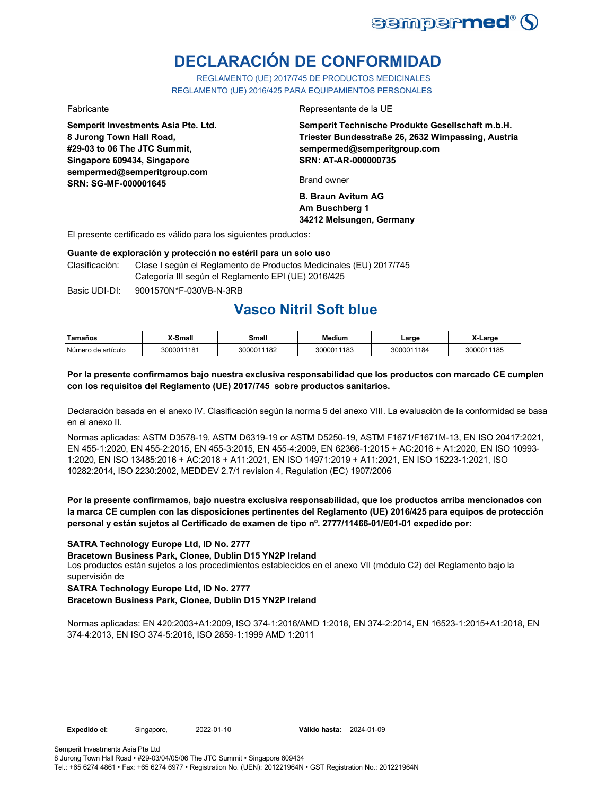

# **DECLARACIÓN DE CONFORMIDAD**

REGLAMENTO (UE) 2017/745 DE PRODUCTOS MEDICINALES REGLAMENTO (UE) 2016/425 PARA EQUIPAMIENTOS PERSONALES

**Semperit Investments Asia Pte. Ltd. 8 Jurong Town Hall Road, #29-03 to 06 The JTC Summit, Singapore 609434, Singapore sempermed@semperitgroup.com SRN: SG-MF-000001645**

#### Fabricante Representante de la UE

**Semperit Technische Produkte Gesellschaft m.b.H. Triester Bundesstraße 26, 2632 Wimpassing, Austria sempermed@semperitgroup.com SRN: AT-AR-000000735**

Brand owner

**B. Braun Avitum AG Am Buschberg 1 34212 Melsungen, Germany**

El presente certificado es válido para los siguientes productos:

#### **Guante de exploración y protección no estéril para un solo uso**

Clasificación: Clase I según el Reglamento de Productos Medicinales (EU) 2017/745 Categoría III según el Reglamento EPI (UE) 2016/425

Basic UDI-DI:  $9001570N*F-030VR-N-3RR$ 

## **Vasco Nitril Soft blue**

| Tamaños            | <b>X-Small</b> | Small      | Medium     | ∟arɑe      | X-Large    |
|--------------------|----------------|------------|------------|------------|------------|
| Número de artículo | 3000011181     | 3000011182 | 3000011183 | 3000011184 | 3000011185 |

#### **Por la presente confirmamos bajo nuestra exclusiva responsabilidad que los productos con marcado CE cumplen con los requisitos del Reglamento (UE) 2017/745 sobre productos sanitarios.**

Declaración basada en el anexo IV. Clasificación según la norma 5 del anexo VIII. La evaluación de la conformidad se basa en el anexo II.

Normas aplicadas: ASTM D3578-19, ASTM D6319-19 or ASTM D5250-19, ASTM F1671/F1671M-13, EN ISO 20417:2021, EN 455-1:2020, EN 455-2:2015, EN 455-3:2015, EN 455-4:2009, EN 62366-1:2015 + AC:2016 + A1:2020, EN ISO 10993- 1:2020, EN ISO 13485:2016 + AC:2018 + A11:2021, EN ISO 14971:2019 + A11:2021, EN ISO 15223-1:2021, ISO 10282:2014, ISO 2230:2002, MEDDEV 2.7/1 revision 4, Regulation (EC) 1907/2006

### **Por la presente confirmamos, bajo nuestra exclusiva responsabilidad, que los productos arriba mencionados con la marca CE cumplen con las disposiciones pertinentes del Reglamento (UE) 2016/425 para equipos de protección personal y están sujetos al Certificado de examen de tipo nº. 2777/11466-01/E01-01 expedido por:**

**SATRA Technology Europe Ltd, ID No. 2777**

**Bracetown Business Park, Clonee, Dublin D15 YN2P Ireland**

Los productos están sujetos a los procedimientos establecidos en el anexo VII (módulo C2) del Reglamento bajo la supervisión de

#### **SATRA Technology Europe Ltd, ID No. 2777 Bracetown Business Park, Clonee, Dublin D15 YN2P Ireland**

Normas aplicadas: EN 420:2003+A1:2009, ISO 374-1:2016/AMD 1:2018, EN 374-2:2014, EN 16523-1:2015+A1:2018, EN 374-4:2013, EN ISO 374-5:2016, ISO 2859-1:1999 AMD 1:2011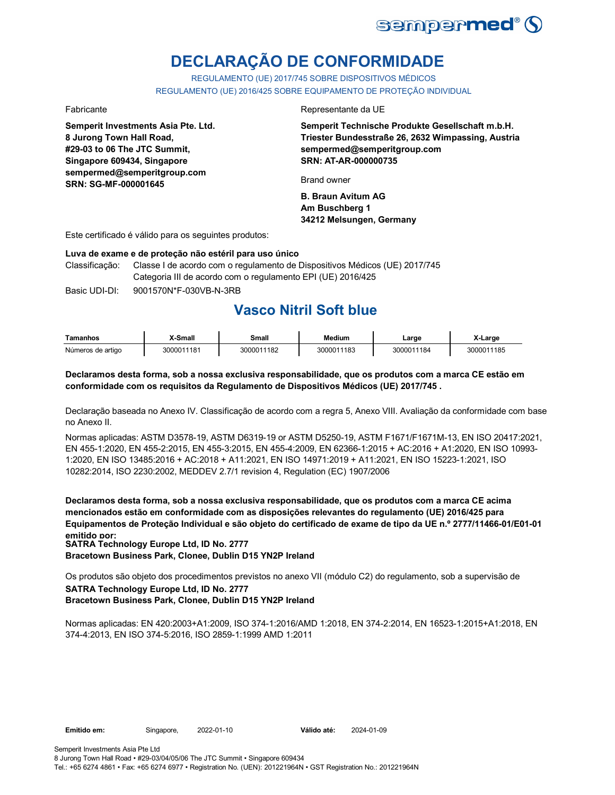

# **DECLARAÇÃO DE CONFORMIDADE**

REGULAMENTO (UE) 2017/745 SOBRE DISPOSITIVOS MÉDICOS REGULAMENTO (UE) 2016/425 SOBRE EQUIPAMENTO DE PROTEÇÃO INDIVIDUAL

**Semperit Investments Asia Pte. Ltd. 8 Jurong Town Hall Road, #29-03 to 06 The JTC Summit, Singapore 609434, Singapore sempermed@semperitgroup.com SRN: SG-MF-000001645**

#### Fabricante Representante da UE

**Semperit Technische Produkte Gesellschaft m.b.H. Triester Bundesstraße 26, 2632 Wimpassing, Austria sempermed@semperitgroup.com SRN: AT-AR-000000735**

Brand owner

**B. Braun Avitum AG Am Buschberg 1 34212 Melsungen, Germany**

Este certificado é válido para os seguintes produtos:

#### **Luva de exame e de proteção não estéril para uso único**

Classificação: Classe I de acordo com o regulamento de Dispositivos Médicos (UE) 2017/745 Categoria III de acordo com o regulamento EPI (UE) 2016/425

Basic UDI-DI: 9001570N\*F-030VB-N-3RB

# **Vasco Nitril Soft blue**

| Tamanhos          | <b>(-Small</b> | Small      | Medium     | ∟arge      | X-Large    |
|-------------------|----------------|------------|------------|------------|------------|
| Números de artigo | 3000011181     | 3000011182 | 3000011183 | 3000011184 | 3000011185 |

#### **Declaramos desta forma, sob a nossa exclusiva responsabilidade, que os produtos com a marca CE estão em conformidade com os requisitos da Regulamento de Dispositivos Médicos (UE) 2017/745 .**

Declaração baseada no Anexo IV. Classificação de acordo com a regra 5, Anexo VIII. Avaliação da conformidade com base no Anexo II.

Normas aplicadas: ASTM D3578-19, ASTM D6319-19 or ASTM D5250-19, ASTM F1671/F1671M-13, EN ISO 20417:2021, EN 455-1:2020, EN 455-2:2015, EN 455-3:2015, EN 455-4:2009, EN 62366-1:2015 + AC:2016 + A1:2020, EN ISO 10993- 1:2020, EN ISO 13485:2016 + AC:2018 + A11:2021, EN ISO 14971:2019 + A11:2021, EN ISO 15223-1:2021, ISO 10282:2014, ISO 2230:2002, MEDDEV 2.7/1 revision 4, Regulation (EC) 1907/2006

**Declaramos desta forma, sob a nossa exclusiva responsabilidade, que os produtos com a marca CE acima mencionados estão em conformidade com as disposições relevantes do regulamento (UE) 2016/425 para Equipamentos de Proteção Individual e são objeto do certificado de exame de tipo da UE n.º 2777/11466-01/E01-01 emitido por: SATRA Technology Europe Ltd, ID No. 2777**

**Bracetown Business Park, Clonee, Dublin D15 YN2P Ireland**

Os produtos são objeto dos procedimentos previstos no anexo VII (módulo C2) do regulamento, sob a supervisão de **SATRA Technology Europe Ltd, ID No. 2777**

#### **Bracetown Business Park, Clonee, Dublin D15 YN2P Ireland**

Normas aplicadas: EN 420:2003+A1:2009, ISO 374-1:2016/AMD 1:2018, EN 374-2:2014, EN 16523-1:2015+A1:2018, EN 374-4:2013, EN ISO 374-5:2016, ISO 2859-1:1999 AMD 1:2011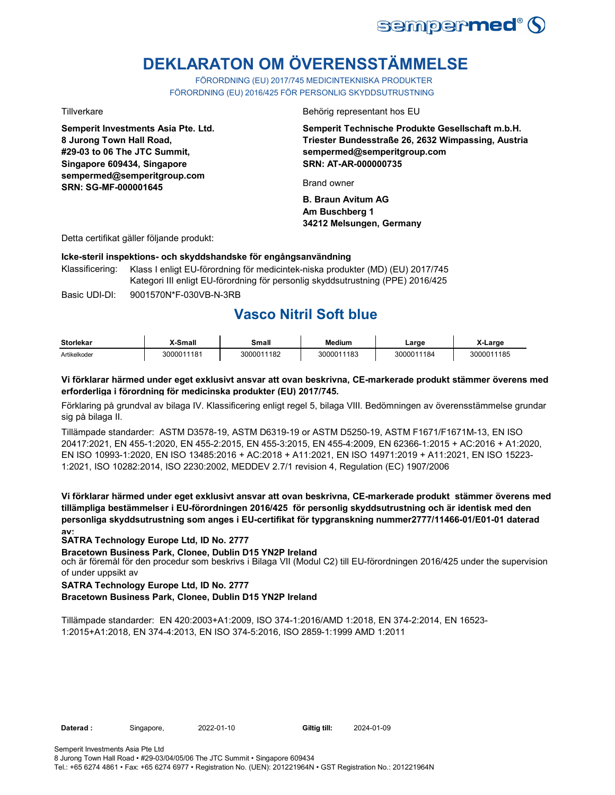

# **DEKLARATON OM ÖVERENSSTÄMMELSE**

FÖRORDNING (EU) 2017/745 MEDICINTEKNISKA PRODUKTER FÖRORDNING (EU) 2016/425 FÖR PERSONLIG SKYDDSUTRUSTNING

**Semperit Investments Asia Pte. Ltd. 8 Jurong Town Hall Road, #29-03 to 06 The JTC Summit, Singapore 609434, Singapore sempermed@semperitgroup.com SRN: SG-MF-000001645**

Tillverkare Behörig representant hos EU

**Semperit Technische Produkte Gesellschaft m.b.H. Triester Bundesstraße 26, 2632 Wimpassing, Austria sempermed@semperitgroup.com SRN: AT-AR-000000735**

Brand owner

**B. Braun Avitum AG Am Buschberg 1 34212 Melsungen, Germany**

Detta certifikat gäller följande produkt:

#### **Icke-steril inspektions- och skyddshandske för engångsanvändning**

Basic UDI-DI: 9001570N\*F-030VB-N-3RB Klassificering: Klass I enligt EU-förordning för medicintek-niska produkter (MD) (EU) 2017/745 Kategori III enligt EU-förordning för personlig skyddsutrustning (PPE) 2016/425

## **Vasco Nitril Soft blue**

| <b>Storlekar</b> | X-Small    | Small      | <b>Medium</b> | ∟arge      | X-Large    |
|------------------|------------|------------|---------------|------------|------------|
| Artikelkoder     | 3000011181 | 3000011182 | 3000011183    | 3000011184 | 3000011185 |

### **Vi förklarar härmed under eget exklusivt ansvar att ovan beskrivna, CE-markerade produkt stämmer överens med erforderliga i förordning för medicinska produkter (EU) 2017/745.**

Förklaring på grundval av bilaga IV. Klassificering enligt regel 5, bilaga VIII. Bedömningen av överensstämmelse grundar sig på bilaga II.

Tillämpade standarder: ASTM D3578-19, ASTM D6319-19 or ASTM D5250-19, ASTM F1671/F1671M-13, EN ISO 20417:2021, EN 455-1:2020, EN 455-2:2015, EN 455-3:2015, EN 455-4:2009, EN 62366-1:2015 + AC:2016 + A1:2020, EN ISO 10993-1:2020, EN ISO 13485:2016 + AC:2018 + A11:2021, EN ISO 14971:2019 + A11:2021, EN ISO 15223- 1:2021, ISO 10282:2014, ISO 2230:2002, MEDDEV 2.7/1 revision 4, Regulation (EC) 1907/2006

**Vi förklarar härmed under eget exklusivt ansvar att ovan beskrivna, CE-markerade produkt stämmer överens med tillämpliga bestämmelser i EU-förordningen 2016/425 för personlig skyddsutrustning och är identisk med den personliga skyddsutrustning som anges i EU-certifikat för typgranskning nummer2777/11466-01/E01-01 daterad av:**

#### **SATRA Technology Europe Ltd, ID No. 2777**

**Bracetown Business Park, Clonee, Dublin D15 YN2P Ireland**

och är föremål för den procedur som beskrivs i Bilaga VII (Modul C2) till EU-förordningen 2016/425 under the supervision of under uppsikt av

#### **SATRA Technology Europe Ltd, ID No. 2777**

#### **Bracetown Business Park, Clonee, Dublin D15 YN2P Ireland**

Tillämpade standarder: EN 420:2003+A1:2009, ISO 374-1:2016/AMD 1:2018, EN 374-2:2014, EN 16523- 1:2015+A1:2018, EN 374-4:2013, EN ISO 374-5:2016, ISO 2859-1:1999 AMD 1:2011

Daterad : Singapore, 2022-01-10

Giltig till: 2024-01-09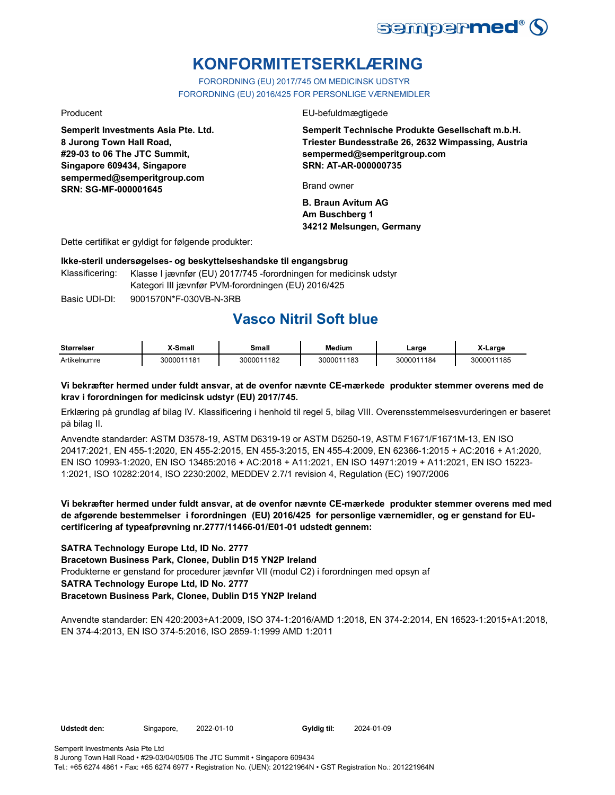

# **KONFORMITETSERKLÆRING**

FORORDNING (EU) 2017/745 OM MEDICINSK UDSTYR FORORDNING (EU) 2016/425 FOR PERSONLIGE VÆRNEMIDLER

**Semperit Investments Asia Pte. Ltd. 8 Jurong Town Hall Road, #29-03 to 06 The JTC Summit, Singapore 609434, Singapore sempermed@semperitgroup.com SRN: SG-MF-000001645**

Producent EU-befuldmægtigede

**Semperit Technische Produkte Gesellschaft m.b.H. Triester Bundesstraße 26, 2632 Wimpassing, Austria sempermed@semperitgroup.com SRN: AT-AR-000000735**

Brand owner

**B. Braun Avitum AG Am Buschberg 1 34212 Melsungen, Germany**

Dette certifikat er gyldigt for følgende produkter:

#### **Ikke-steril undersøgelses- og beskyttelseshandske til engangsbrug**

Klassificering: Klasse I jævnfør (EU) 2017/745 -forordningen for medicinsk udstyr Kategori III jævnfør PVM-forordningen (EU) 2016/425

Basic UDI-DI: 9001570N\*F-030VB-N-3RB

## **Vasco Nitril Soft blue**

| <b>Størrelser</b> | X-Small    | Small      | <b>Medium</b> | ∟arɑe      | X-Large    |
|-------------------|------------|------------|---------------|------------|------------|
| Artikelnumre      | 3000011181 | 3000011182 | 3000011183    | 3000011184 | 3000011185 |

#### **Vi bekræfter hermed under fuldt ansvar, at de ovenfor nævnte CE-mærkede produkter stemmer overens med de krav i forordningen for medicinsk udstyr (EU) 2017/745.**

Erklæring på grundlag af bilag IV. Klassificering i henhold til regel 5, bilag VIII. Overensstemmelsesvurderingen er baseret på bilag II.

Anvendte standarder: ASTM D3578-19, ASTM D6319-19 or ASTM D5250-19, ASTM F1671/F1671M-13, EN ISO 20417:2021, EN 455-1:2020, EN 455-2:2015, EN 455-3:2015, EN 455-4:2009, EN 62366-1:2015 + AC:2016 + A1:2020, EN ISO 10993-1:2020, EN ISO 13485:2016 + AC:2018 + A11:2021, EN ISO 14971:2019 + A11:2021, EN ISO 15223- 1:2021, ISO 10282:2014, ISO 2230:2002, MEDDEV 2.7/1 revision 4, Regulation (EC) 1907/2006

**Vi bekræfter hermed under fuldt ansvar, at de ovenfor nævnte CE-mærkede produkter stemmer overens med med de afgørende bestemmelser i forordningen (EU) 2016/425 for personlige værnemidler, og er genstand for EUcertificering af typeafprøvning nr.2777/11466-01/E01-01 udstedt gennem:**

#### **SATRA Technology Europe Ltd, ID No. 2777**

**Bracetown Business Park, Clonee, Dublin D15 YN2P Ireland**

Produkterne er genstand for procedurer jævnfør VII (modul C2) i forordningen med opsyn af

### **SATRA Technology Europe Ltd, ID No. 2777**

#### **Bracetown Business Park, Clonee, Dublin D15 YN2P Ireland**

Anvendte standarder: EN 420:2003+A1:2009, ISO 374-1:2016/AMD 1:2018, EN 374-2:2014, EN 16523-1:2015+A1:2018, EN 374-4:2013, EN ISO 374-5:2016, ISO 2859-1:1999 AMD 1:2011

Udstedt den: Singapore, 2022-01-10

Gyldig til: 2024-01-09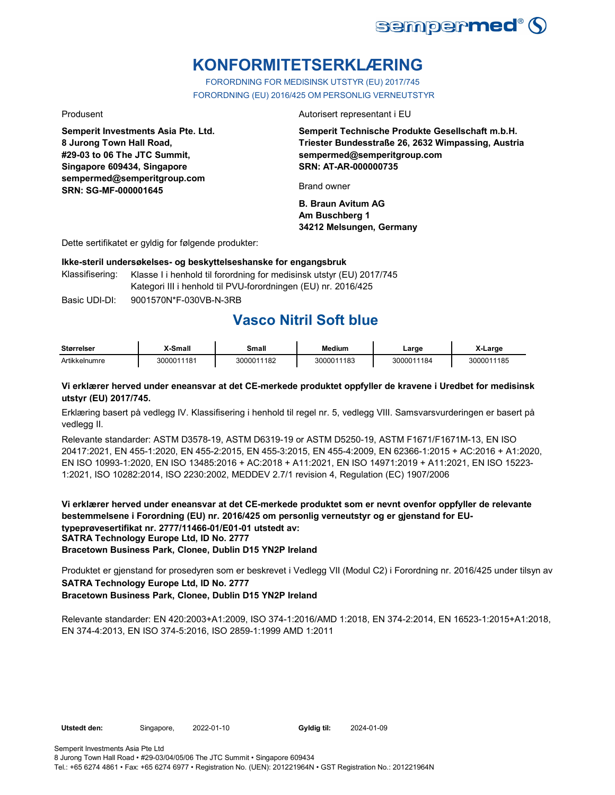

# **KONFORMITETSERKLÆRING**

FORORDNING FOR MEDISINSK UTSTYR (EU) 2017/745 FORORDNING (EU) 2016/425 OM PERSONLIG VERNEUTSTYR

**Semperit Investments Asia Pte. Ltd. 8 Jurong Town Hall Road, #29-03 to 06 The JTC Summit, Singapore 609434, Singapore sempermed@semperitgroup.com SRN: SG-MF-000001645**

Produsent **Autorisert representant i EU** 

**Semperit Technische Produkte Gesellschaft m.b.H. Triester Bundesstraße 26, 2632 Wimpassing, Austria sempermed@semperitgroup.com SRN: AT-AR-000000735**

Brand owner

**B. Braun Avitum AG Am Buschberg 1 34212 Melsungen, Germany**

Dette sertifikatet er gyldig for følgende produkter:

**Ikke-steril undersøkelses- og beskyttelseshanske for engangsbruk**

Klassifisering: Klasse I i henhold til forordning for medisinsk utstyr (EU) 2017/745 Kategori III i henhold til PVU-forordningen (EU) nr. 2016/425

Basic UDI-DI: 9001570N\*F-030VB-N-3RB

# **Vasco Nitril Soft blue**

| <b>Størrelser</b> | <b>X-Small</b> | Small      | <b>Medium</b> | ∟arge      | X-Large    |
|-------------------|----------------|------------|---------------|------------|------------|
| Artikkelnumre     | 3000011181     | 3000011182 | 3000011183    | 3000011184 | 3000011185 |

#### **Vi erklærer herved under eneansvar at det CE-merkede produktet oppfyller de kravene i Uredbet for medisinsk utstyr (EU) 2017/745.**

Erklæring basert på vedlegg IV. Klassifisering i henhold til regel nr. 5, vedlegg VIII. Samsvarsvurderingen er basert på vedlegg II.

Relevante standarder: ASTM D3578-19, ASTM D6319-19 or ASTM D5250-19, ASTM F1671/F1671M-13, EN ISO 20417:2021, EN 455-1:2020, EN 455-2:2015, EN 455-3:2015, EN 455-4:2009, EN 62366-1:2015 + AC:2016 + A1:2020, EN ISO 10993-1:2020, EN ISO 13485:2016 + AC:2018 + A11:2021, EN ISO 14971:2019 + A11:2021, EN ISO 15223- 1:2021, ISO 10282:2014, ISO 2230:2002, MEDDEV 2.7/1 revision 4, Regulation (EC) 1907/2006

**Vi erklærer herved under eneansvar at det CE-merkede produktet som er nevnt ovenfor oppfyller de relevante bestemmelsene i Forordning (EU) nr. 2016/425 om personlig verneutstyr og er gjenstand for EUtypeprøvesertifikat nr. 2777/11466-01/E01-01 utstedt av: SATRA Technology Europe Ltd, ID No. 2777 Bracetown Business Park, Clonee, Dublin D15 YN2P Ireland**

Produktet er gjenstand for prosedyren som er beskrevet i Vedlegg VII (Modul C2) i Forordning nr. 2016/425 under tilsyn av **SATRA Technology Europe Ltd, ID No. 2777 Bracetown Business Park, Clonee, Dublin D15 YN2P Ireland**

Relevante standarder: EN 420:2003+A1:2009, ISO 374-1:2016/AMD 1:2018, EN 374-2:2014, EN 16523-1:2015+A1:2018, EN 374-4:2013, EN ISO 374-5:2016, ISO 2859-1:1999 AMD 1:2011

Utstedt den: Singapore, 2022-01-10

Gyldig til: 2024-01-09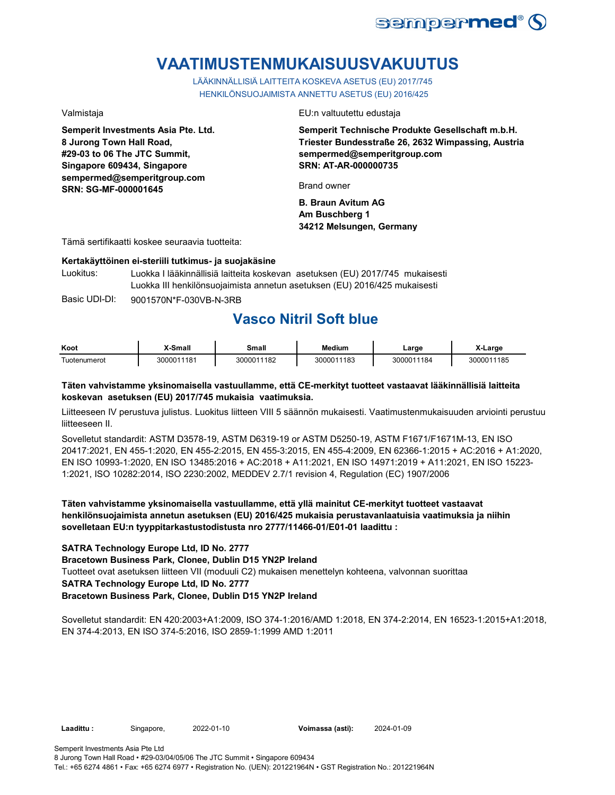

# **VAATIMUSTENMUKAISUUSVAKUUTUS**

LÄÄKINNÄLLISIÄ LAITTEITA KOSKEVA ASETUS (EU) 2017/745 HENKILÖNSUOJAIMISTA ANNETTU ASETUS (EU) 2016/425

**Semperit Investments Asia Pte. Ltd. 8 Jurong Town Hall Road, #29-03 to 06 The JTC Summit, Singapore 609434, Singapore sempermed@semperitgroup.com SRN: SG-MF-000001645**

Valmistaja EU:n valtuutettu edustaja

**Semperit Technische Produkte Gesellschaft m.b.H. Triester Bundesstraße 26, 2632 Wimpassing, Austria sempermed@semperitgroup.com SRN: AT-AR-000000735**

Brand owner

**B. Braun Avitum AG Am Buschberg 1 34212 Melsungen, Germany**

Tämä sertifikaatti koskee seuraavia tuotteita:

#### **Kertakäyttöinen ei-steriili tutkimus- ja suojakäsine**

Luokitus: Luokka I lääkinnällisiä laitteita koskevan asetuksen (EU) 2017/745 mukaisesti Luokka III henkilönsuojaimista annetun asetuksen (EU) 2016/425 mukaisesti

Basic UDI-DI: 9001570N\*F-030VB-N-3RB

# **Vasco Nitril Soft blue**

| Koot              | X-Small    | Small      | <b>Medium</b> | ∟arge      | X-Large    |
|-------------------|------------|------------|---------------|------------|------------|
| -<br>Tuotenumerot | 3000011181 | 3000011182 | 3000011183    | 3000011184 | 3000011185 |

#### **Täten vahvistamme yksinomaisella vastuullamme, että CE-merkityt tuotteet vastaavat lääkinnällisiä laitteita koskevan asetuksen (EU) 2017/745 mukaisia vaatimuksia.**

Liitteeseen IV perustuva julistus. Luokitus liitteen VIII 5 säännön mukaisesti. Vaatimustenmukaisuuden arviointi perustuu liitteeseen II.

Sovelletut standardit: ASTM D3578-19, ASTM D6319-19 or ASTM D5250-19, ASTM F1671/F1671M-13, EN ISO 20417:2021, EN 455-1:2020, EN 455-2:2015, EN 455-3:2015, EN 455-4:2009, EN 62366-1:2015 + AC:2016 + A1:2020, EN ISO 10993-1:2020, EN ISO 13485:2016 + AC:2018 + A11:2021, EN ISO 14971:2019 + A11:2021, EN ISO 15223- 1:2021, ISO 10282:2014, ISO 2230:2002, MEDDEV 2.7/1 revision 4, Regulation (EC) 1907/2006

### **Täten vahvistamme yksinomaisella vastuullamme, että yllä mainitut CE-merkityt tuotteet vastaavat henkilönsuojaimista annetun asetuksen (EU) 2016/425 mukaisia perustavanlaatuisia vaatimuksia ja niihin sovelletaan EU:n tyyppitarkastustodistusta nro 2777/11466-01/E01-01 laadittu :**

#### **SATRA Technology Europe Ltd, ID No. 2777**

#### **Bracetown Business Park, Clonee, Dublin D15 YN2P Ireland**

Tuotteet ovat asetuksen liitteen VII (moduuli C2) mukaisen menettelyn kohteena, valvonnan suorittaa

### **SATRA Technology Europe Ltd, ID No. 2777**

#### **Bracetown Business Park, Clonee, Dublin D15 YN2P Ireland**

Sovelletut standardit: EN 420:2003+A1:2009, ISO 374-1:2016/AMD 1:2018, EN 374-2:2014, EN 16523-1:2015+A1:2018, EN 374-4:2013, EN ISO 374-5:2016, ISO 2859-1:1999 AMD 1:2011

**Laadittu :** Singapore, **Voimassa (asti):** 2022-01-10 2024-01-09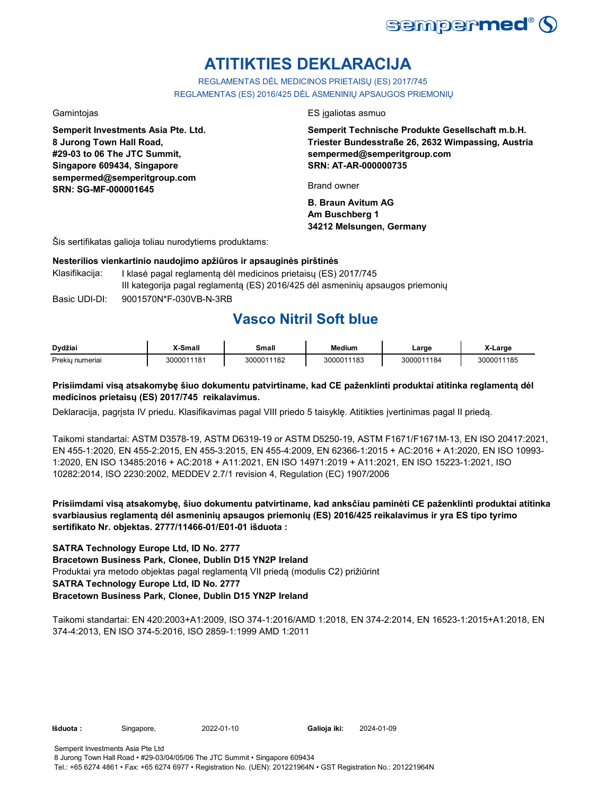

# **ATITIKTIES DEKLARACIJA**

REGLAMENTAS DĖL MEDICINOS PRIETAISŲ (ES) 2017/745 REGLAMENTAS (ES) 2016/425 DĖL ASMENINIŲ APSAUGOS PRIEMONIŲ

**Semperit Investments Asia Pte. Ltd. 8 Jurong Town Hall Road, #29-03 to 06 The JTC Summit, Singapore 609434, Singapore sempermed@semperitgroup.com SRN: SG-MF-000001645**

Gamintojas ES įgaliotas asmuo

**Semperit Technische Produkte Gesellschaft m.b.H. Triester Bundesstraße 26, 2632 Wimpassing, Austria sempermed@semperitgroup.com SRN: AT-AR-000000735**

Brand owner

**B. Braun Avitum AG Am Buschberg 1 34212 Melsungen, Germany**

Šis sertifikatas galioja toliau nurodytiems produktams:

#### **Nesterilios vienkartinio naudojimo apžiūros ir apsauginės pirštinės**

Basic UDI-DI: 9001570N\*F-030VB-N-3RB Klasifikacija: I klasė pagal reglamentą dėl medicinos prietaisų (ES) 2017/745 III kategorija pagal reglamentą (ES) 2016/425 dėl asmeninių apsaugos priemonių

## **Vasco Nitril Soft blue**

| Dvdžiai                          | -Small     | Small      | Medium     | Large      | ∧-Larɑe    |
|----------------------------------|------------|------------|------------|------------|------------|
| Prekiu <sub>II</sub><br>numerial | 3000011181 | 3000011182 | 3000011183 | 3000011184 | 3000011185 |

### **Prisiimdami visą atsakomybę šiuo dokumentu patvirtiname, kad CE paženklinti produktai atitinka reglamentą dėl medicinos prietaisų (ES) 2017/745 reikalavimus.**

Deklaracija, pagrįsta IV priedu. Klasifikavimas pagal VIII priedo 5 taisyklę. Atitikties įvertinimas pagal II priedą.

Taikomi standartai: ASTM D3578-19, ASTM D6319-19 or ASTM D5250-19, ASTM F1671/F1671M-13, EN ISO 20417:2021, EN 455-1:2020, EN 455-2:2015, EN 455-3:2015, EN 455-4:2009, EN 62366-1:2015 + AC:2016 + A1:2020, EN ISO 10993- 1:2020, EN ISO 13485:2016 + AC:2018 + A11:2021, EN ISO 14971:2019 + A11:2021, EN ISO 15223-1:2021, ISO 10282:2014, ISO 2230:2002, MEDDEV 2.7/1 revision 4, Regulation (EC) 1907/2006

**Prisiimdami visą atsakomybę, šiuo dokumentu patvirtiname, kad anksčiau paminėti CE paženklinti produktai atitinka svarbiausius reglamentą dėl asmeninių apsaugos priemonių (ES) 2016/425 reikalavimus ir yra ES tipo tyrimo sertifikato Nr. objektas. 2777/11466-01/E01-01 išduota :**

#### **SATRA Technology Europe Ltd, ID No. 2777**

**Bracetown Business Park, Clonee, Dublin D15 YN2P Ireland**

Produktai yra metodo objektas pagal reglamentą VII priedą (modulis C2) prižiūrint

### **SATRA Technology Europe Ltd, ID No. 2777**

### **Bracetown Business Park, Clonee, Dublin D15 YN2P Ireland**

Taikomi standartai: EN 420:2003+A1:2009, ISO 374-1:2016/AMD 1:2018, EN 374-2:2014, EN 16523-1:2015+A1:2018, EN 374-4:2013, EN ISO 374-5:2016, ISO 2859-1:1999 AMD 1:2011

**Išduota :** Singapore, 2022-01-10

Galioja iki: 2024-01-09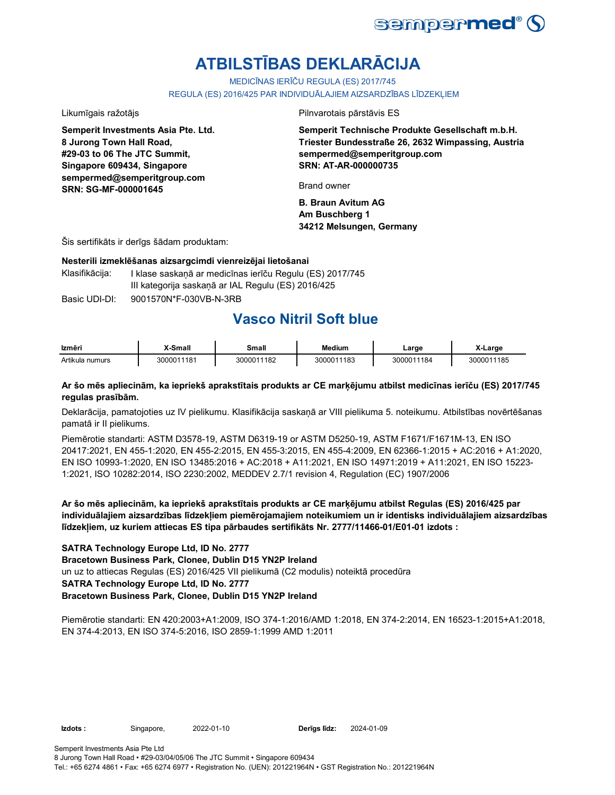

# **ATBILSTĪBAS DEKLARĀCIJA**

MEDICĪNAS IERĪČU REGULA (ES) 2017/745

REGULA (ES) 2016/425 PAR INDIVIDUĀLAJIEM AIZSARDZĪBAS LĪDZEKĻIEM

**Semperit Investments Asia Pte. Ltd. 8 Jurong Town Hall Road, #29-03 to 06 The JTC Summit, Singapore 609434, Singapore sempermed@semperitgroup.com SRN: SG-MF-000001645**

Likumīgais ražotājs Pilnvarotais pārstāvis ES

**Semperit Technische Produkte Gesellschaft m.b.H. Triester Bundesstraße 26, 2632 Wimpassing, Austria sempermed@semperitgroup.com SRN: AT-AR-000000735**

Brand owner

**B. Braun Avitum AG Am Buschberg 1 34212 Melsungen, Germany**

Šis sertifikāts ir derīgs šādam produktam:

#### **Nesterili izmeklēšanas aizsargcimdi vienreizējai lietošanai**

Klasifikācija: I klase saskanā ar medicīnas ierīču Regulu (ES) 2017/745 III kategorija saskaņā ar IAL Regulu (ES) 2016/425

Basic UDI-DI: 9001570N\*F-030VB-N-3RB

## **Vasco Nitril Soft blue**

| Izmēri          | X-Small    | Small      | <b>Medium</b> | Large      | X-Large    |
|-----------------|------------|------------|---------------|------------|------------|
| Artikula numurs | 3000011181 | 3000011182 | 3000011183    | 3000011184 | 3000011185 |

#### **Ar šo mēs apliecinām, ka iepriekš aprakstītais produkts ar CE marķējumu atbilst medicīnas ierīču (ES) 2017/745 regulas prasībām.**

Deklarācija, pamatojoties uz IV pielikumu. Klasifikācija saskaņā ar VIII pielikuma 5. noteikumu. Atbilstības novērtēšanas pamatā ir II pielikums.

Piemērotie standarti: ASTM D3578-19, ASTM D6319-19 or ASTM D5250-19, ASTM F1671/F1671M-13, EN ISO 20417:2021, EN 455-1:2020, EN 455-2:2015, EN 455-3:2015, EN 455-4:2009, EN 62366-1:2015 + AC:2016 + A1:2020, EN ISO 10993-1:2020, EN ISO 13485:2016 + AC:2018 + A11:2021, EN ISO 14971:2019 + A11:2021, EN ISO 15223- 1:2021, ISO 10282:2014, ISO 2230:2002, MEDDEV 2.7/1 revision 4, Regulation (EC) 1907/2006

**Ar šo mēs apliecinām, ka iepriekš aprakstītais produkts ar CE marķējumu atbilst Regulas (ES) 2016/425 par individuālajiem aizsardzības līdzekļiem piemērojamajiem noteikumiem un ir identisks individuālajiem aizsardzības līdzekļiem, uz kuriem attiecas ES tipa pārbaudes sertifikāts Nr. 2777/11466-01/E01-01 izdots :**

#### **SATRA Technology Europe Ltd, ID No. 2777**

**Bracetown Business Park, Clonee, Dublin D15 YN2P Ireland**

un uz to attiecas Regulas (ES) 2016/425 VII pielikumā (C2 modulis) noteiktā procedūra

### **SATRA Technology Europe Ltd, ID No. 2777**

### **Bracetown Business Park, Clonee, Dublin D15 YN2P Ireland**

Piemērotie standarti: EN 420:2003+A1:2009, ISO 374-1:2016/AMD 1:2018, EN 374-2:2014, EN 16523-1:2015+A1:2018, EN 374-4:2013, EN ISO 374-5:2016, ISO 2859-1:1999 AMD 1:2011

**Izdots :** Singapore, 2022-01-10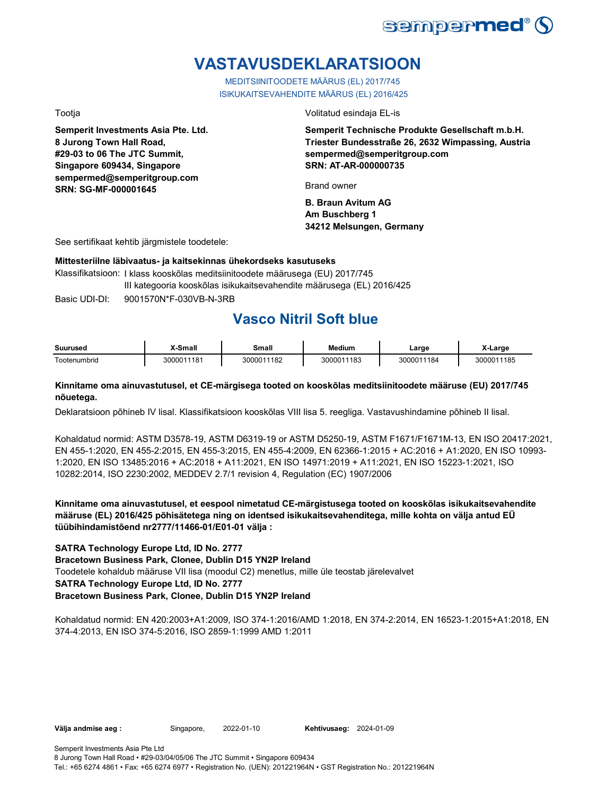

# **VASTAVUSDEKLARATSIOON**

MEDITSIINITOODETE MÄÄRUS (EL) 2017/745 ISIKUKAITSEVAHENDITE MÄÄRUS (EL) 2016/425

**Semperit Investments Asia Pte. Ltd. 8 Jurong Town Hall Road, #29-03 to 06 The JTC Summit, Singapore 609434, Singapore sempermed@semperitgroup.com SRN: SG-MF-000001645**

Tootja Volitatud esindaja EL-is

**Semperit Technische Produkte Gesellschaft m.b.H. Triester Bundesstraße 26, 2632 Wimpassing, Austria sempermed@semperitgroup.com SRN: AT-AR-000000735**

Brand owner

**B. Braun Avitum AG Am Buschberg 1 34212 Melsungen, Germany**

See sertifikaat kehtib järgmistele toodetele:

#### **Mittesteriilne läbivaatus- ja kaitsekinnas ühekordseks kasutuseks**

Basic UDI-DI: 9001570N\*F-030VB-N-3RB Klassifikatsioon: I klass kooskõlas meditsiinitoodete määrusega (EU) 2017/745 III kategooria kooskõlas isikukaitsevahendite määrusega (EL) 2016/425

## **Vasco Nitril Soft blue**

| Suurused                | X-Small  | Small           | <b>Medium</b> | ∟arɑe            | Large          |
|-------------------------|----------|-----------------|---------------|------------------|----------------|
| $\sim$<br>l ootenumbrid | 00011181 | 11182<br>300001 | 3000011183    | 184<br>$30000^4$ | 185<br>3000011 |

#### **Kinnitame oma ainuvastutusel, et CE-märgisega tooted on kooskõlas meditsiinitoodete määruse (EU) 2017/745 nõuetega.**

Deklaratsioon põhineb IV lisal. Klassifikatsioon kooskõlas VIII lisa 5. reegliga. Vastavushindamine põhineb II lisal.

Kohaldatud normid: ASTM D3578-19, ASTM D6319-19 or ASTM D5250-19, ASTM F1671/F1671M-13, EN ISO 20417:2021, EN 455-1:2020, EN 455-2:2015, EN 455-3:2015, EN 455-4:2009, EN 62366-1:2015 + AC:2016 + A1:2020, EN ISO 10993- 1:2020, EN ISO 13485:2016 + AC:2018 + A11:2021, EN ISO 14971:2019 + A11:2021, EN ISO 15223-1:2021, ISO 10282:2014, ISO 2230:2002, MEDDEV 2.7/1 revision 4, Regulation (EC) 1907/2006

**Kinnitame oma ainuvastutusel, et eespool nimetatud CE-märgistusega tooted on kooskõlas isikukaitsevahendite määruse (EL) 2016/425 põhisätetega ning on identsed isikukaitsevahenditega, mille kohta on välja antud EÜ tüübihindamistõend nr2777/11466-01/E01-01 välja :**

#### **SATRA Technology Europe Ltd, ID No. 2777**

**Bracetown Business Park, Clonee, Dublin D15 YN2P Ireland**

Toodetele kohaldub määruse VII lisa (moodul C2) menetlus, mille üle teostab järelevalvet

### **SATRA Technology Europe Ltd, ID No. 2777**

#### **Bracetown Business Park, Clonee, Dublin D15 YN2P Ireland**

Kohaldatud normid: EN 420:2003+A1:2009, ISO 374-1:2016/AMD 1:2018, EN 374-2:2014, EN 16523-1:2015+A1:2018, EN 374-4:2013, EN ISO 374-5:2016, ISO 2859-1:1999 AMD 1:2011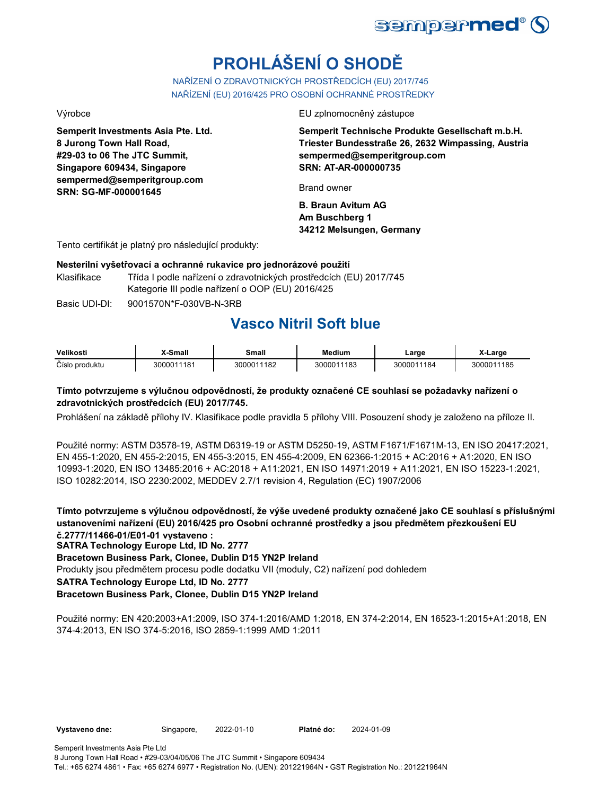

# **PROHLÁŠENÍ O SHODĚ**

NAŘÍZENÍ O ZDRAVOTNICKÝCH PROSTŘEDCÍCH (EU) 2017/745 NAŘÍZENÍ (EU) 2016/425 PRO OSOBNÍ OCHRANNÉ PROSTŘEDKY

**Semperit Investments Asia Pte. Ltd. 8 Jurong Town Hall Road, #29-03 to 06 The JTC Summit, Singapore 609434, Singapore sempermed@semperitgroup.com SRN: SG-MF-000001645**

Výrobce EU zplnomocněný zástupce

**Semperit Technische Produkte Gesellschaft m.b.H. Triester Bundesstraße 26, 2632 Wimpassing, Austria sempermed@semperitgroup.com SRN: AT-AR-000000735**

Brand owner

**B. Braun Avitum AG Am Buschberg 1 34212 Melsungen, Germany**

Tento certifikát je platný pro následující produkty:

#### **Nesterilní vyšetřovací a ochranné rukavice pro jednorázové použití**

Klasifikace Třída I podle nařízení o zdravotnických prostředcích (EU) 2017/745 Kategorie III podle nařízení o OOP (EU) 2016/425

Basic UDI-DI: 9001570N\*F-030VB-N-3RB

# **Vasco Nitril Soft blue**

| Velikosti      | X-Small    | Small      | Medium     | ∟arge      | X-Large    |
|----------------|------------|------------|------------|------------|------------|
| Číslo produktu | 3000011181 | 3000011182 | 3000011183 | 3000011184 | 3000011185 |

### **Tímto potvrzujeme s výlučnou odpovědností, že produkty označené CE souhlasí se požadavky nařízení o zdravotnických prostředcích (EU) 2017/745.**

Prohlášení na základě přílohy IV. Klasifikace podle pravidla 5 přílohy VIII. Posouzení shody je založeno na příloze II.

Použité normy: ASTM D3578-19, ASTM D6319-19 or ASTM D5250-19, ASTM F1671/F1671M-13, EN ISO 20417:2021, EN 455-1:2020, EN 455-2:2015, EN 455-3:2015, EN 455-4:2009, EN 62366-1:2015 + AC:2016 + A1:2020, EN ISO 10993-1:2020, EN ISO 13485:2016 + AC:2018 + A11:2021, EN ISO 14971:2019 + A11:2021, EN ISO 15223-1:2021, ISO 10282:2014, ISO 2230:2002, MEDDEV 2.7/1 revision 4, Regulation (EC) 1907/2006

**Tímto potvrzujeme s výlučnou odpovědností, že výše uvedené produkty označené jako CE souhlasí s příslušnými ustanoveními nařízení (EU) 2016/425 pro Osobní ochranné prostředky a jsou předmětem přezkoušení EU č.2777/11466-01/E01-01 vystaveno :**

**SATRA Technology Europe Ltd, ID No. 2777**

**Bracetown Business Park, Clonee, Dublin D15 YN2P Ireland**

Produkty jsou předmětem procesu podle dodatku VII (moduly, C2) nařízení pod dohledem

**SATRA Technology Europe Ltd, ID No. 2777**

### **Bracetown Business Park, Clonee, Dublin D15 YN2P Ireland**

Použité normy: EN 420:2003+A1:2009, ISO 374-1:2016/AMD 1:2018, EN 374-2:2014, EN 16523-1:2015+A1:2018, EN 374-4:2013, EN ISO 374-5:2016, ISO 2859-1:1999 AMD 1:2011

2022-01-10 2024-01-09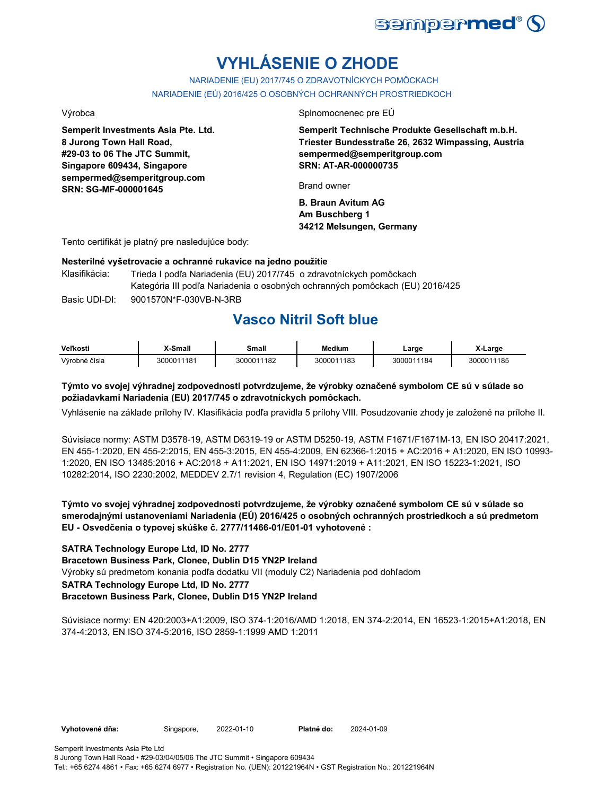

# **VYHLÁSENIE O ZHODE**

NARIADENIE (EU) 2017/745 O ZDRAVOTNÍCKYCH POMÔCKACH NARIADENIE (EÚ) 2016/425 O OSOBNÝCH OCHRANNÝCH PROSTRIEDKOCH

**Semperit Investments Asia Pte. Ltd. 8 Jurong Town Hall Road, #29-03 to 06 The JTC Summit, Singapore 609434, Singapore sempermed@semperitgroup.com SRN: SG-MF-000001645**

Výrobca Splnomocnenec pre EÚ

**Semperit Technische Produkte Gesellschaft m.b.H. Triester Bundesstraße 26, 2632 Wimpassing, Austria sempermed@semperitgroup.com SRN: AT-AR-000000735**

Brand owner

**B. Braun Avitum AG Am Buschberg 1 34212 Melsungen, Germany**

Tento certifikát je platný pre nasledujúce body:

#### **Nesterilné vyšetrovacie a ochranné rukavice na jedno použitie**

Basic UDI-DI: 9001570N\*F-030VB-N-3RB Klasifikácia: Trieda I podľa Nariadenia (EU) 2017/745 o zdravotníckych pomôckach Kategória III podľa Nariadenia o osobných ochranných pomôckach (EU) 2016/425

## **Vasco Nitril Soft blue**

| Veľkosti      | X-Small    | Small      | <b>Medium</b> | Large      | X-Large    |
|---------------|------------|------------|---------------|------------|------------|
| Výrobné čísla | 3000011181 | 3000011182 | 3000011183    | 3000011184 | 3000011185 |

### **Týmto vo svojej výhradnej zodpovednosti potvrdzujeme, že výrobky označené symbolom CE sú v súlade so požiadavkami Nariadenia (EU) 2017/745 o zdravotníckych pomôckach.**

Vyhlásenie na základe prílohy IV. Klasifikácia podľa pravidla 5 prílohy VIII. Posudzovanie zhody je založené na prílohe II.

Súvisiace normy: ASTM D3578-19, ASTM D6319-19 or ASTM D5250-19, ASTM F1671/F1671M-13, EN ISO 20417:2021, EN 455-1:2020, EN 455-2:2015, EN 455-3:2015, EN 455-4:2009, EN 62366-1:2015 + AC:2016 + A1:2020, EN ISO 10993- 1:2020, EN ISO 13485:2016 + AC:2018 + A11:2021, EN ISO 14971:2019 + A11:2021, EN ISO 15223-1:2021, ISO 10282:2014, ISO 2230:2002, MEDDEV 2.7/1 revision 4, Regulation (EC) 1907/2006

**Týmto vo svojej výhradnej zodpovednosti potvrdzujeme, že výrobky označené symbolom CE sú v súlade so smerodajnými ustanoveniami Nariadenia (EÚ) 2016/425 o osobných ochranných prostriedkoch a sú predmetom EU - Osvedčenia o typovej skúške č. 2777/11466-01/E01-01 vyhotovené :**

#### **SATRA Technology Europe Ltd, ID No. 2777**

**Bracetown Business Park, Clonee, Dublin D15 YN2P Ireland**

Výrobky sú predmetom konania podľa dodatku VII (moduly C2) Nariadenia pod dohľadom

#### **SATRA Technology Europe Ltd, ID No. 2777**

#### **Bracetown Business Park, Clonee, Dublin D15 YN2P Ireland**

Súvisiace normy: EN 420:2003+A1:2009, ISO 374-1:2016/AMD 1:2018, EN 374-2:2014, EN 16523-1:2015+A1:2018, EN 374-4:2013, EN ISO 374-5:2016, ISO 2859-1:1999 AMD 1:2011

Vyhotovené dňa: Singapore, 2022-01-10 Platné do: 2024-01-09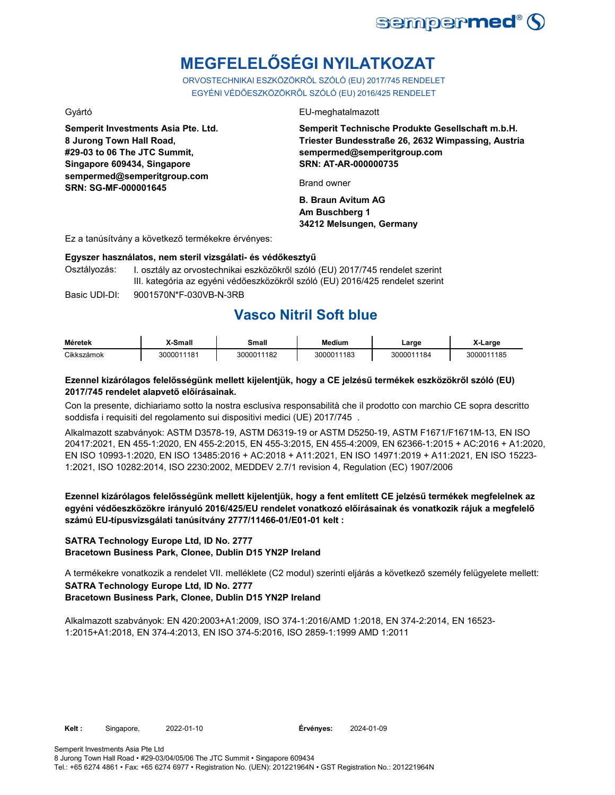

# **MEGFELELŐSÉGI NYILATKOZAT**

ORVOSTECHNIKAI ESZKÖZÖKRŐL SZÓLÓ (EU) 2017/745 RENDELET EGYÉNI VÉDŐESZKÖZÖKRŐL SZÓLÓ (EU) 2016/425 RENDELET

**Semperit Investments Asia Pte. Ltd. 8 Jurong Town Hall Road, #29-03 to 06 The JTC Summit, Singapore 609434, Singapore sempermed@semperitgroup.com SRN: SG-MF-000001645**

#### Gyártó EU-meghatalmazott

**Semperit Technische Produkte Gesellschaft m.b.H. Triester Bundesstraße 26, 2632 Wimpassing, Austria sempermed@semperitgroup.com SRN: AT-AR-000000735**

Brand owner

**B. Braun Avitum AG Am Buschberg 1 34212 Melsungen, Germany**

Ez a tanúsítvány a következő termékekre érvényes:

#### **Egyszer használatos, nem steril vizsgálati- és védőkesztyű**

Osztályozás: I. osztály az orvostechnikai eszközökről szóló (EU) 2017/745 rendelet szerint III. kategória az egyéni védőeszközökről szóló (EU) 2016/425 rendelet szerint

Basic UDI-DI: 9001570N\*F-030VB-N-3RB

## **Vasco Nitril Soft blue**

| <b>Méretek</b> | X-Small    | Small      | <b>Medium</b> | Large      | ∡-Large    |
|----------------|------------|------------|---------------|------------|------------|
| Cikkszámok     | 3000011181 | 3000011182 | 3000011183    | 3000011184 | 3000011185 |

#### **Ezennel kizárólagos felelősségünk mellett kijelentjük, hogy a CE jelzésű termékek eszközökről szóló (EU) 2017/745 rendelet alapvető előírásainak.**

Con la presente, dichiariamo sotto la nostra esclusiva responsabilità che il prodotto con marchio CE sopra descritto soddisfa i requisiti del regolamento sui dispositivi medici (UE) 2017/745 .

Alkalmazott szabványok: ASTM D3578-19, ASTM D6319-19 or ASTM D5250-19, ASTM F1671/F1671M-13, EN ISO 20417:2021, EN 455-1:2020, EN 455-2:2015, EN 455-3:2015, EN 455-4:2009, EN 62366-1:2015 + AC:2016 + A1:2020, EN ISO 10993-1:2020, EN ISO 13485:2016 + AC:2018 + A11:2021, EN ISO 14971:2019 + A11:2021, EN ISO 15223- 1:2021, ISO 10282:2014, ISO 2230:2002, MEDDEV 2.7/1 revision 4, Regulation (EC) 1907/2006

**Ezennel kizárólagos felelősségünk mellett kijelentjük, hogy a fent említett CE jelzésű termékek megfelelnek az egyéni védőeszközökre irányuló 2016/425/EU rendelet vonatkozó előírásainak és vonatkozik rájuk a megfelelő számú EU-típusvizsgálati tanúsítvány 2777/11466-01/E01-01 kelt :**

### **SATRA Technology Europe Ltd, ID No. 2777 Bracetown Business Park, Clonee, Dublin D15 YN2P Ireland**

A termékekre vonatkozik a rendelet VII. melléklete (C2 modul) szerinti eljárás a következő személy felügyelete mellett: **SATRA Technology Europe Ltd, ID No. 2777 Bracetown Business Park, Clonee, Dublin D15 YN2P Ireland**

Alkalmazott szabványok: EN 420:2003+A1:2009, ISO 374-1:2016/AMD 1:2018, EN 374-2:2014, EN 16523- 1:2015+A1:2018, EN 374-4:2013, EN ISO 374-5:2016, ISO 2859-1:1999 AMD 1:2011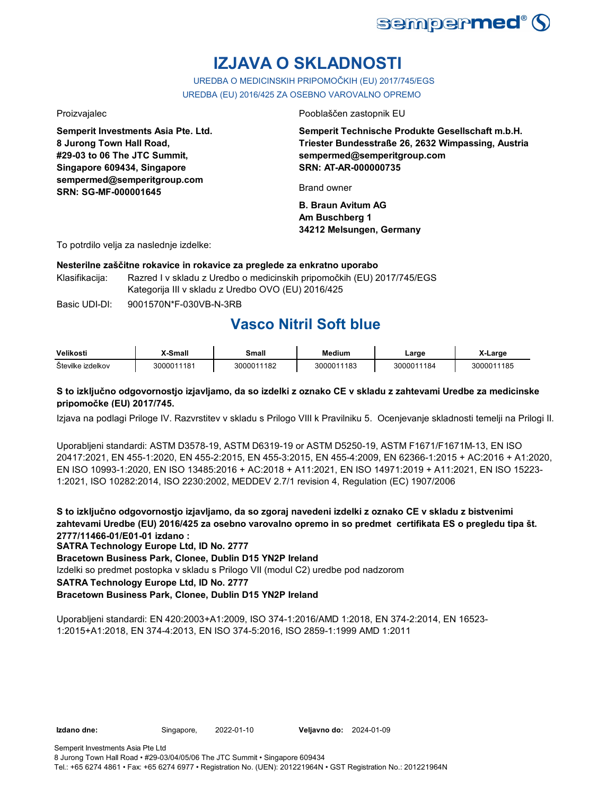

# **IZJAVA O SKLADNOSTI**

UREDBA O MEDICINSKIH PRIPOMOČKIH (EU) 2017/745/EGS UREDBA (EU) 2016/425 ZA OSEBNO VAROVALNO OPREMO

**Semperit Investments Asia Pte. Ltd. 8 Jurong Town Hall Road, #29-03 to 06 The JTC Summit, Singapore 609434, Singapore sempermed@semperitgroup.com SRN: SG-MF-000001645**

Proizvajalec Pooblaščen zastopnik EU

**Semperit Technische Produkte Gesellschaft m.b.H. Triester Bundesstraße 26, 2632 Wimpassing, Austria sempermed@semperitgroup.com SRN: AT-AR-000000735**

Brand owner

**B. Braun Avitum AG Am Buschberg 1 34212 Melsungen, Germany**

To potrdilo velja za naslednje izdelke:

### **Nesterilne zaščitne rokavice in rokavice za preglede za enkratno uporabo**

Klasifikacija: Razred I v skladu z Uredbo o medicinskih pripomočkih (EU) 2017/745/EGS Kategorija III v skladu z Uredbo OVO (EU) 2016/425

Basic UDI-DI: 9001570N\*F-030VB-N-3RB

# **Vasco Nitril Soft blue**

| Velikosti         | X-Small    | Small      | Medium     | Large                       | X-Large    |
|-------------------|------------|------------|------------|-----------------------------|------------|
| Številke izdelkov | 3000011181 | 3000011182 | 3000011183 | 300001 <sup>.</sup><br>1184 | 3000011185 |

### **S to izključno odgovornostjo izjavljamo, da so izdelki z oznako CE v skladu z zahtevami Uredbe za medicinske pripomočke (EU) 2017/745.**

Izjava na podlagi Priloge IV. Razvrstitev v skladu s Prilogo VIII k Pravilniku 5. Ocenjevanje skladnosti temelji na Prilogi II.

Uporabljeni standardi: ASTM D3578-19, ASTM D6319-19 or ASTM D5250-19, ASTM F1671/F1671M-13, EN ISO 20417:2021, EN 455-1:2020, EN 455-2:2015, EN 455-3:2015, EN 455-4:2009, EN 62366-1:2015 + AC:2016 + A1:2020, EN ISO 10993-1:2020, EN ISO 13485:2016 + AC:2018 + A11:2021, EN ISO 14971:2019 + A11:2021, EN ISO 15223- 1:2021, ISO 10282:2014, ISO 2230:2002, MEDDEV 2.7/1 revision 4, Regulation (EC) 1907/2006

**S to izključno odgovornostjo izjavljamo, da so zgoraj navedeni izdelki z oznako CE v skladu z bistvenimi zahtevami Uredbe (EU) 2016/425 za osebno varovalno opremo in so predmet certifikata ES o pregledu tipa št. 2777/11466-01/E01-01 izdano :**

**SATRA Technology Europe Ltd, ID No. 2777**

**Bracetown Business Park, Clonee, Dublin D15 YN2P Ireland**

Izdelki so predmet postopka v skladu s Prilogo VII (modul C2) uredbe pod nadzorom

**SATRA Technology Europe Ltd, ID No. 2777**

### **Bracetown Business Park, Clonee, Dublin D15 YN2P Ireland**

Uporabljeni standardi: EN 420:2003+A1:2009, ISO 374-1:2016/AMD 1:2018, EN 374-2:2014, EN 16523- 1:2015+A1:2018, EN 374-4:2013, EN ISO 374-5:2016, ISO 2859-1:1999 AMD 1:2011

**Izdano dne:** Singapore, **Veljavno do:** 2022-01-10 2024-01-09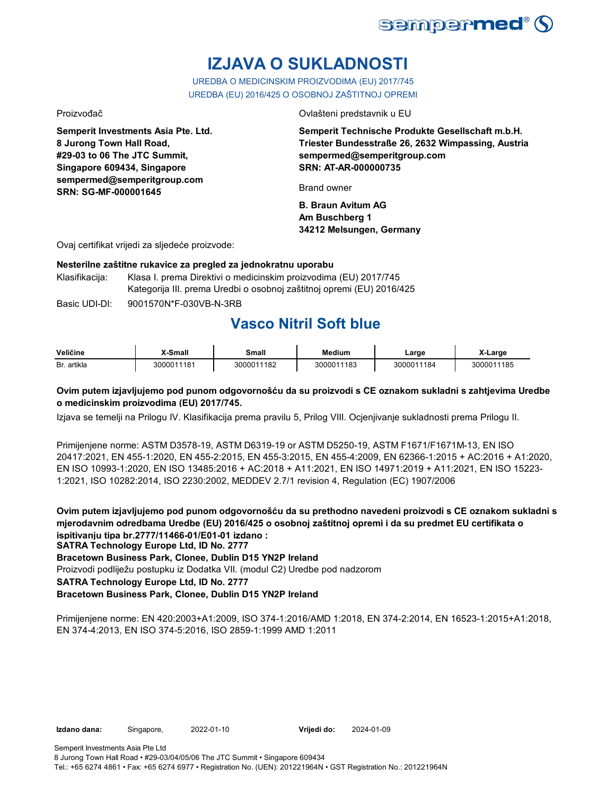

# **IZJAVA O SUKLADNOSTI**

UREDBA O MEDICINSKIM PROIZVODIMA (EU) 2017/745 UREDBA (EU) 2016/425 O OSOBNOJ ZAŠTITNOJ OPREMI

**Semperit Investments Asia Pte. Ltd. 8 Jurong Town Hall Road, #29-03 to 06 The JTC Summit, Singapore 609434, Singapore sempermed@semperitgroup.com SRN: SG-MF-000001645**

Proizvođač Ovlašteni predstavnik u EU

**Semperit Technische Produkte Gesellschaft m.b.H. Triester Bundesstraße 26, 2632 Wimpassing, Austria sempermed@semperitgroup.com SRN: AT-AR-000000735**

Brand owner

**B. Braun Avitum AG Am Buschberg 1 34212 Melsungen, Germany**

Ovaj certifikat vrijedi za sljedeće proizvode:

### **Nesterilne zaštitne rukavice za pregled za jednokratnu uporabu**

Klasifikacija: Klasa I. prema Direktivi o medicinskim proizvodima (EU) 2017/745 Kategorija III. prema Uredbi o osobnoj zaštitnoj opremi (EU) 2016/425

Basic UDI-DI: 9001570N\*F-030VB-N-3RB

# **Vasco Nitril Soft blue**

| Veličine    | <b>X-Small</b> | Small      | Medium     | Large      | X-Large    |
|-------------|----------------|------------|------------|------------|------------|
| Br. artikla | 3000011181     | 3000011182 | 3000011183 | 3000011184 | 3000011185 |

### **Ovim putem izjavljujemo pod punom odgovornošću da su proizvodi s CE oznakom sukladni s zahtjevima Uredbe o medicinskim proizvodima (EU) 2017/745.**

Izjava se temelji na Prilogu IV. Klasifikacija prema pravilu 5, Prilog VIII. Ocjenjivanje sukladnosti prema Prilogu II.

Primijenjene norme: ASTM D3578-19, ASTM D6319-19 or ASTM D5250-19, ASTM F1671/F1671M-13, EN ISO 20417:2021, EN 455-1:2020, EN 455-2:2015, EN 455-3:2015, EN 455-4:2009, EN 62366-1:2015 + AC:2016 + A1:2020, EN ISO 10993-1:2020, EN ISO 13485:2016 + AC:2018 + A11:2021, EN ISO 14971:2019 + A11:2021, EN ISO 15223- 1:2021, ISO 10282:2014, ISO 2230:2002, MEDDEV 2.7/1 revision 4, Regulation (EC) 1907/2006

**Ovim putem izjavljujemo pod punom odgovornošću da su prethodno navedeni proizvodi s CE oznakom sukladni s mjerodavnim odredbama Uredbe (EU) 2016/425 o osobnoj zaštitnoj opremi i da su predmet EU certifikata o ispitivanju tipa br.2777/11466-01/E01-01 izdano :**

**SATRA Technology Europe Ltd, ID No. 2777**

**Bracetown Business Park, Clonee, Dublin D15 YN2P Ireland**

Proizvodi podliježu postupku iz Dodatka VII. (modul C2) Uredbe pod nadzorom

**SATRA Technology Europe Ltd, ID No. 2777**

### **Bracetown Business Park, Clonee, Dublin D15 YN2P Ireland**

Primijenjene norme: EN 420:2003+A1:2009, ISO 374-1:2016/AMD 1:2018, EN 374-2:2014, EN 16523-1:2015+A1:2018, EN 374-4:2013, EN ISO 374-5:2016, ISO 2859-1:1999 AMD 1:2011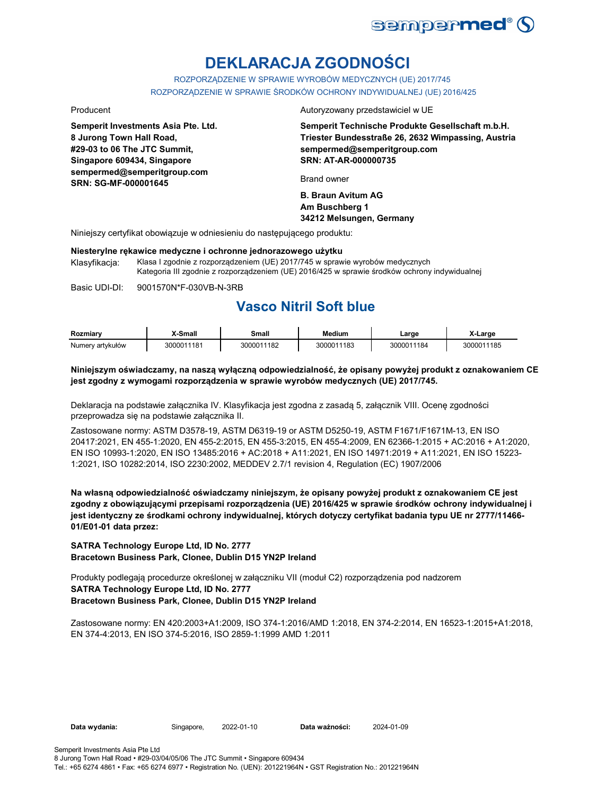

# **DEKLARACJA ZGODNOŚCI**

ROZPORZĄDZENIE W SPRAWIE WYROBÓW MEDYCZNYCH (UE) 2017/745 ROZPORZĄDZENIE W SPRAWIE ŚRODKÓW OCHRONY INDYWIDUALNEJ (UE) 2016/425

**Semperit Investments Asia Pte. Ltd. 8 Jurong Town Hall Road, #29-03 to 06 The JTC Summit, Singapore 609434, Singapore sempermed@semperitgroup.com SRN: SG-MF-000001645**

Producent Autoryzowany przedstawiciel w UE

**Semperit Technische Produkte Gesellschaft m.b.H. Triester Bundesstraße 26, 2632 Wimpassing, Austria sempermed@semperitgroup.com SRN: AT-AR-000000735**

Brand owner

**B. Braun Avitum AG Am Buschberg 1 34212 Melsungen, Germany**

Niniejszy certyfikat obowiązuje w odniesieniu do następującego produktu:

#### **Niesterylne rękawice medyczne i ochronne jednorazowego użytku**

Klasyfikacja: Klasa I zgodnie z rozporządzeniem (UE) 2017/745 w sprawie wyrobów medycznych Kategoria III zgodnie z rozporządzeniem (UE) 2016/425 w sprawie środków ochrony indywidualnej

Basic UDI-DI: 9001570N\*F-030VB-N-3RB

## **Vasco Nitril Soft blue**

| Rozmiarv         | <b>Small</b> - | Small      | Medium     | ∟arge      | X-Large    |
|------------------|----------------|------------|------------|------------|------------|
| Numery artykułów | 3000011181     | 3000011182 | 3000011183 | 3000011184 | 3000011185 |

#### **Niniejszym oświadczamy, na naszą wyłączną odpowiedzialność, że opisany powyżej produkt z oznakowaniem CE jest zgodny z wymogami rozporządzenia w sprawie wyrobów medycznych (UE) 2017/745.**

Deklaracja na podstawie załącznika IV. Klasyfikacja jest zgodna z zasadą 5, załącznik VIII. Ocenę zgodności przeprowadza się na podstawie załącznika II.

Zastosowane normy: ASTM D3578-19, ASTM D6319-19 or ASTM D5250-19, ASTM F1671/F1671M-13, EN ISO 20417:2021, EN 455-1:2020, EN 455-2:2015, EN 455-3:2015, EN 455-4:2009, EN 62366-1:2015 + AC:2016 + A1:2020, EN ISO 10993-1:2020, EN ISO 13485:2016 + AC:2018 + A11:2021, EN ISO 14971:2019 + A11:2021, EN ISO 15223- 1:2021, ISO 10282:2014, ISO 2230:2002, MEDDEV 2.7/1 revision 4, Regulation (EC) 1907/2006

**Na własną odpowiedzialność oświadczamy niniejszym, że opisany powyżej produkt z oznakowaniem CE jest zgodny z obowiązującymi przepisami rozporządzenia (UE) 2016/425 w sprawie środków ochrony indywidualnej i jest identyczny ze środkami ochrony indywidualnej, których dotyczy certyfikat badania typu UE nr 2777/11466- 01/E01-01 data przez:**

**SATRA Technology Europe Ltd, ID No. 2777 Bracetown Business Park, Clonee, Dublin D15 YN2P Ireland**

Produkty podlegają procedurze określonej w załączniku VII (moduł C2) rozporządzenia pod nadzorem **SATRA Technology Europe Ltd, ID No. 2777 Bracetown Business Park, Clonee, Dublin D15 YN2P Ireland**

Zastosowane normy: EN 420:2003+A1:2009, ISO 374-1:2016/AMD 1:2018, EN 374-2:2014, EN 16523-1:2015+A1:2018, EN 374-4:2013, EN ISO 374-5:2016, ISO 2859-1:1999 AMD 1:2011

**Data wydania:** Singapore, 2022-01-10

Data ważności: 2024-01-09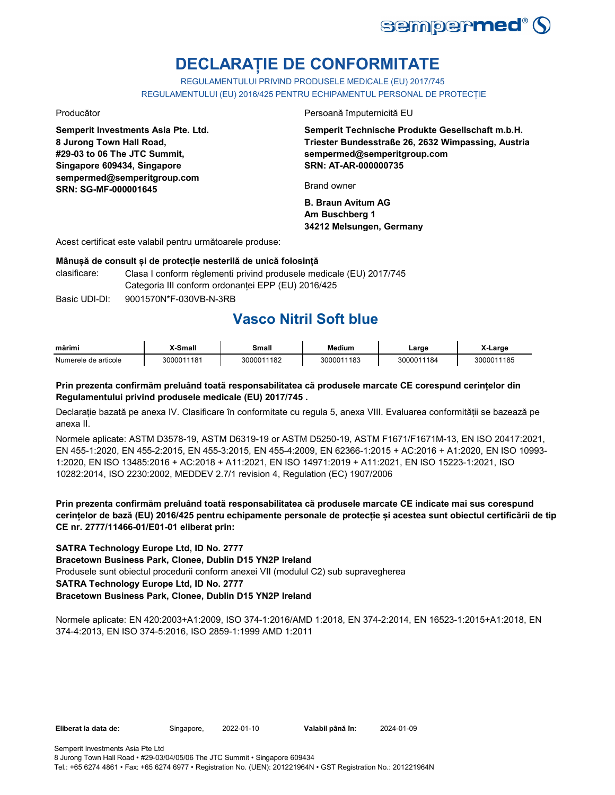

# **DECLARAȚIE DE CONFORMITATE**

REGULAMENTULUI PRIVIND PRODUSELE MEDICALE (EU) 2017/745 REGULAMENTULUI (EU) 2016/425 PENTRU ECHIPAMENTUL PERSONAL DE PROTECȚIE

**Semperit Investments Asia Pte. Ltd. 8 Jurong Town Hall Road, #29-03 to 06 The JTC Summit, Singapore 609434, Singapore sempermed@semperitgroup.com SRN: SG-MF-000001645**

Producător Persoană împuternicită EU

**Semperit Technische Produkte Gesellschaft m.b.H. Triester Bundesstraße 26, 2632 Wimpassing, Austria sempermed@semperitgroup.com SRN: AT-AR-000000735**

Brand owner

**B. Braun Avitum AG Am Buschberg 1 34212 Melsungen, Germany**

Acest certificat este valabil pentru următoarele produse:

#### **Mânușă de consult și de protecție nesterilă de unică folosință**

- clasificare: Clasa I conform règlementi privind produsele medicale (EU) 2017/745 Categoria III conform ordonanței EPP (EU) 2016/425
- Basic UDI-DI: 9001570N\*F-030VB-N-3RB

## **Vasco Nitril Soft blue**

| mărim                | Small-     | small          | <b>Medium</b> | _arge      | Largo      |
|----------------------|------------|----------------|---------------|------------|------------|
| Numerele de articole | 3000011181 | 1182<br>300001 | 3000011183    | 3000011184 | 3000011185 |

#### **Prin prezenta confirmăm preluând toată responsabilitatea că produsele marcate CE corespund cerințelor din Regulamentului privind produsele medicale (EU) 2017/745 .**

Declarație bazată pe anexa IV. Clasificare în conformitate cu regula 5, anexa VIII. Evaluarea conformității se bazează pe anexa II.

Normele aplicate: ASTM D3578-19, ASTM D6319-19 or ASTM D5250-19, ASTM F1671/F1671M-13, EN ISO 20417:2021, EN 455-1:2020, EN 455-2:2015, EN 455-3:2015, EN 455-4:2009, EN 62366-1:2015 + AC:2016 + A1:2020, EN ISO 10993- 1:2020, EN ISO 13485:2016 + AC:2018 + A11:2021, EN ISO 14971:2019 + A11:2021, EN ISO 15223-1:2021, ISO 10282:2014, ISO 2230:2002, MEDDEV 2.7/1 revision 4, Regulation (EC) 1907/2006

**Prin prezenta confirmăm preluând toată responsabilitatea că produsele marcate CE indicate mai sus corespund cerințelor de bază (EU) 2016/425 pentru echipamente personale de protecție și acestea sunt obiectul certificării de tip CE nr. 2777/11466-01/E01-01 eliberat prin:**

#### **SATRA Technology Europe Ltd, ID No. 2777**

**Bracetown Business Park, Clonee, Dublin D15 YN2P Ireland**

Produsele sunt obiectul procedurii conform anexei VII (modulul C2) sub supravegherea

### **SATRA Technology Europe Ltd, ID No. 2777**

#### **Bracetown Business Park, Clonee, Dublin D15 YN2P Ireland**

Normele aplicate: EN 420:2003+A1:2009, ISO 374-1:2016/AMD 1:2018, EN 374-2:2014, EN 16523-1:2015+A1:2018, EN 374-4:2013, EN ISO 374-5:2016, ISO 2859-1:1999 AMD 1:2011

Eliberat la data de: Singapore, 2022-01-10

Valabil până în: 2024-01-09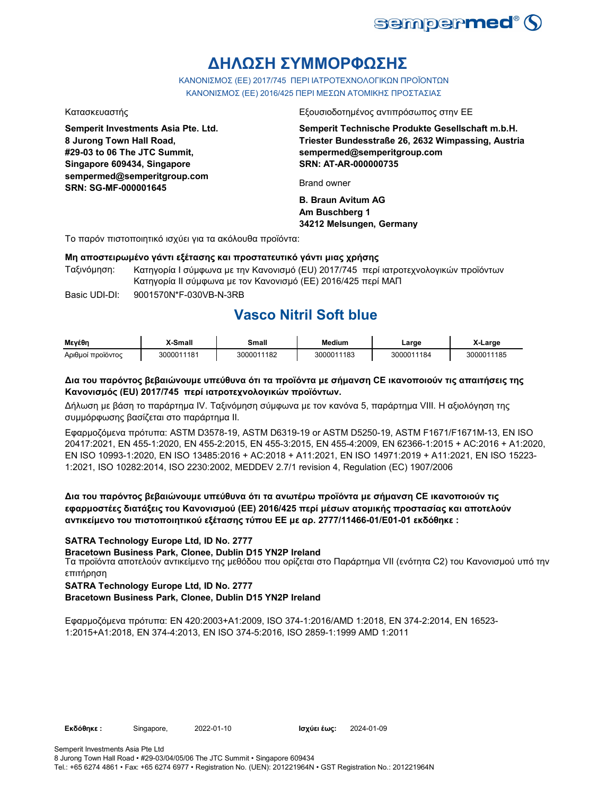

# **ΔΗΛΩΣΗ ΣΥΜΜΟΡΦΩΣΗΣ**

ΚΑΝΟΝΙΣΜΟΣ (EE) 2017/745 ΠΕΡΙ ΙΑΤΡΟΤΕΧΝΟΛΟΓΙΚΩΝ ΠΡΟΪΟΝΤΩΝ ΚΑΝΟΝΙΣΜΟΣ (ΕΕ) 2016/425 ΠΕΡΙ ΜΕΣΩΝ ΑΤΟΜΙΚΗΣ ΠΡΟΣΤΑΣΙΑΣ

**Semperit Investments Asia Pte. Ltd. 8 Jurong Town Hall Road, #29-03 to 06 The JTC Summit, Singapore 609434, Singapore sempermed@semperitgroup.com SRN: SG-MF-000001645**

Κατασκευαστής Εξουσιοδοτημένος αντιπρόσωπος στην ΕΕ

**Semperit Technische Produkte Gesellschaft m.b.H. Triester Bundesstraße 26, 2632 Wimpassing, Austria sempermed@semperitgroup.com SRN: AT-AR-000000735**

Brand owner

**B. Braun Avitum AG Am Buschberg 1 34212 Melsungen, Germany**

Το παρόν πιστοποιητικό ισχύει για τα ακόλουθα προϊόντα:

#### **Μη αποστειρωμένο γάντι εξέτασης και προστατευτικό γάντι μιας χρήσης**

Ταξινόμηση: Κατηγορία I σύμφωνα με την Κανονισμό (EU) 2017/745 περί ιατροτεχνολογικών προϊόντων Κατηγορία II σύμφωνα με τον Κανονισμό (ΕΕ) 2016/425 περί ΜΑΠ

Basic UDI-DI: 9001570N\*F-030VB-N-3RB

## **Vasco Nitril Soft blue**

| Μενέθη            | K-Small    | Small      | <b>Medium</b> | ∟arge      | X-Large    |
|-------------------|------------|------------|---------------|------------|------------|
| Αριθμοί προϊόντος | 3000011181 | 3000011182 | 3000011183    | 3000011184 | 3000011185 |

### **Δια του παρόντος βεβαιώνουμε υπεύθυνα ότι τα προϊόντα με σήμανση CE ικανοποιούν τις απαιτήσεις της Κανονισμός (EU) 2017/745 περί ιατροτεχνολογικών προϊόντων.**

Δήλωση με βάση το παράρτημα IV. Ταξινόμηση σύμφωνα με τον κανόνα 5, παράρτημα VIII. Η αξιολόγηση της συμμόρφωσης βασίζεται στο παράρτημα II.

Εφαρμοζόμενα πρότυπα: ASTM D3578-19, ASTM D6319-19 or ASTM D5250-19, ASTM F1671/F1671M-13, EN ISO 20417:2021, EN 455-1:2020, EN 455-2:2015, EN 455-3:2015, EN 455-4:2009, EN 62366-1:2015 + AC:2016 + A1:2020, EN ISO 10993-1:2020, EN ISO 13485:2016 + AC:2018 + A11:2021, EN ISO 14971:2019 + A11:2021, EN ISO 15223- 1:2021, ISO 10282:2014, ISO 2230:2002, MEDDEV 2.7/1 revision 4, Regulation (EC) 1907/2006

### **Δια του παρόντος βεβαιώνουμε υπεύθυνα ότι τα ανωτέρω προϊόντα με σήμανση CE ικανοποιούν τις εφαρμοστέες διατάξεις του Κανονισμού (ΕΕ) 2016/425 περί μέσων ατομικής προστασίας και αποτελούν αντικείμενο του πιστοποιητικού εξέτασης τύπου ΕΕ με αρ. 2777/11466-01/E01-01 εκδόθηκε :**

#### **SATRA Technology Europe Ltd, ID No. 2777**

**Bracetown Business Park, Clonee, Dublin D15 YN2P Ireland**

Τα προϊόντα αποτελούν αντικείμενο της μεθόδου που ορίζεται στο Παράρτημα VII (ενότητα C2) του Κανονισμού υπό την επιτήρηση

#### **SATRA Technology Europe Ltd, ID No. 2777**

**Bracetown Business Park, Clonee, Dublin D15 YN2P Ireland**

Εφαρμοζόμενα πρότυπα: EN 420:2003+A1:2009, ISO 374-1:2016/AMD 1:2018, EN 374-2:2014, EN 16523- 1:2015+A1:2018, EN 374-4:2013, EN ISO 374-5:2016, ISO 2859-1:1999 AMD 1:2011

**Εκδόθηκε :** Singapore, **Ισχύει έως:**

2024-01-09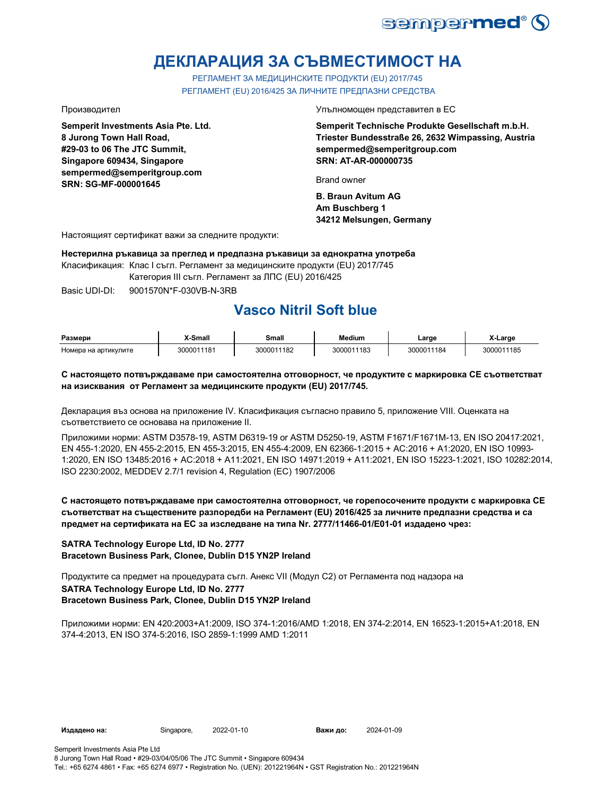

# **ДЕКЛАРАЦИЯ ЗА СЪВМЕСТИМОСТ НА**

РЕГЛАМЕНТ ЗА МЕДИЦИНСКИТЕ ПРОДУКТИ (EU) 2017/745 РЕГЛАМЕНТ (EU) 2016/425 ЗА ЛИЧНИТЕ ПРЕДПАЗНИ СРЕДСТВА

**Semperit Investments Asia Pte. Ltd. 8 Jurong Town Hall Road, #29-03 to 06 The JTC Summit, Singapore 609434, Singapore sempermed@semperitgroup.com SRN: SG-MF-000001645**

Производител Упълномощен представител в ЕС

**Semperit Technische Produkte Gesellschaft m.b.H. Triester Bundesstraße 26, 2632 Wimpassing, Austria sempermed@semperitgroup.com SRN: AT-AR-000000735**

Brand owner

**B. Braun Avitum AG Am Buschberg 1 34212 Melsungen, Germany**

Настоящият сертификат важи за следните продукти:

**Нестерилна ръкавица за преглед и предпазна ръкавици за еднократна употреба**

Класификация: Клас I съгл. Регламент за медицинските продукти (EU) 2017/745

Категория III съгл. Регламент за ЛПС (EU) 2016/425

Basic UDI-DI: 9001570N\*F-030VB-N-3RB

# **Vasco Nitril Soft blue**

| Размери              | X-Small    | Small      | Medium     | ∟arge      | X-Large    |
|----------------------|------------|------------|------------|------------|------------|
| Номера на артикулите | 3000011181 | 3000011182 | 3000011183 | 3000011184 | 3000011185 |

#### **С настоящето потвърждаваме при самостоятелна отговорност, че продуктите с маркировка СЕ съответстват на изисквания от Регламент за медицинските продукти (EU) 2017/745.**

Декларация въз основа на приложение IV. Класификация съгласно правило 5, приложение VIII. Оценката на съответствието се основава на приложение II.

Приложими норми: ASTM D3578-19, ASTM D6319-19 or ASTM D5250-19, ASTM F1671/F1671M-13, EN ISO 20417:2021, EN 455-1:2020, EN 455-2:2015, EN 455-3:2015, EN 455-4:2009, EN 62366-1:2015 + AC:2016 + A1:2020, EN ISO 10993- 1:2020, EN ISO 13485:2016 + AC:2018 + A11:2021, EN ISO 14971:2019 + A11:2021, EN ISO 15223-1:2021, ISO 10282:2014, ISO 2230:2002, MEDDEV 2.7/1 revision 4, Regulation (EC) 1907/2006

### **С настоящето потвърждаваме при самостоятелна отговорност, че горепосочените продукти с маркировка СЕ съответстват на съществените разпоредби на Регламент (EU) 2016/425 за личните предпазни средства и са предмет на сертификата на ЕС за изследване на типа Nr. 2777/11466-01/E01-01 издадено чрез:**

#### **SATRA Technology Europe Ltd, ID No. 2777 Bracetown Business Park, Clonee, Dublin D15 YN2P Ireland**

Продуктите са предмет на процедурата съгл. Анекс VII (Модул С2) от Регламента под надзора на **SATRA Technology Europe Ltd, ID No. 2777 Bracetown Business Park, Clonee, Dublin D15 YN2P Ireland**

Приложими норми: EN 420:2003+A1:2009, ISO 374-1:2016/AMD 1:2018, EN 374-2:2014, EN 16523-1:2015+A1:2018, EN 374-4:2013, EN ISO 374-5:2016, ISO 2859-1:1999 AMD 1:2011

Важи до: 2024-01-09